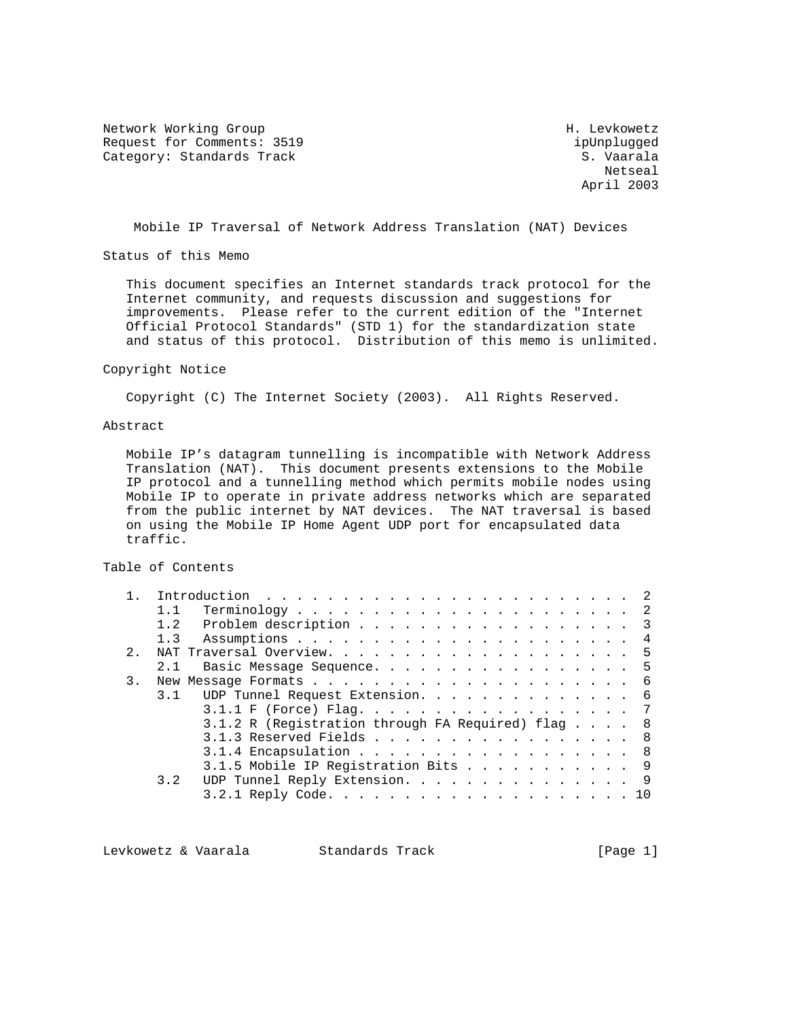Network Working Group Network H. Levkowetz Request for Comments: 3519 ipUnplugged Category: Standards Track S. Vaarala

netseal and the second state of the second state of the second state of the second state of the second state of the second state of the second state of the second state of the second state of the second state of the second April 2003

Mobile IP Traversal of Network Address Translation (NAT) Devices

Status of this Memo

 This document specifies an Internet standards track protocol for the Internet community, and requests discussion and suggestions for improvements. Please refer to the current edition of the "Internet Official Protocol Standards" (STD 1) for the standardization state and status of this protocol. Distribution of this memo is unlimited.

#### Copyright Notice

Copyright (C) The Internet Society (2003). All Rights Reserved.

#### Abstract

 Mobile IP's datagram tunnelling is incompatible with Network Address Translation (NAT). This document presents extensions to the Mobile IP protocol and a tunnelling method which permits mobile nodes using Mobile IP to operate in private address networks which are separated from the public internet by NAT devices. The NAT traversal is based on using the Mobile IP Home Agent UDP port for encapsulated data traffic.

#### Table of Contents

|    | Problem description 3<br>1.2                      |
|----|---------------------------------------------------|
|    |                                                   |
| 2. |                                                   |
|    | Basic Message Sequence. 5<br>2.1                  |
| 3. |                                                   |
|    | 3.1 UDP Tunnel Request Extension. 6               |
|    | 3.1.1 F (Force) Flag. 7                           |
|    | 3.1.2 R (Registration through FA Required) flag 8 |
|    | 3.1.3 Reserved Fields 8                           |
|    | $3.1.4$ Encapsulation 8                           |
|    | 3.1.5 Mobile IP Registration Bits 9               |
|    | UDP Tunnel Reply Extension. 9<br>3.2              |
|    |                                                   |

Levkowetz & Vaarala Standards Track [Page 1]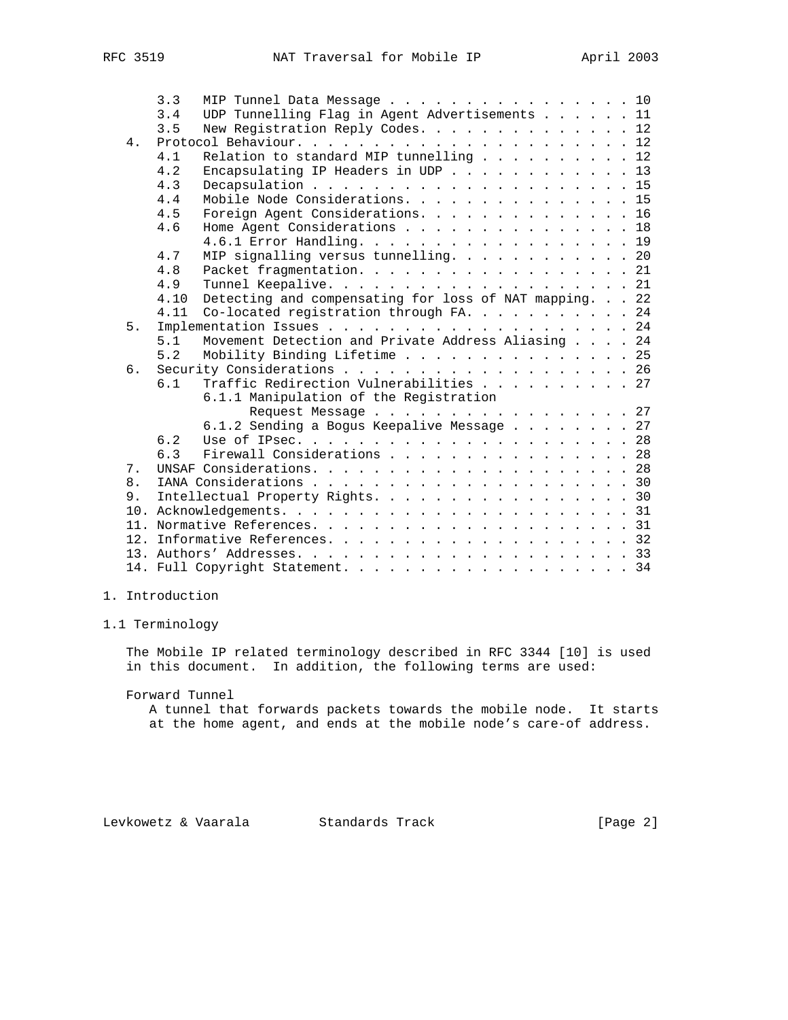|       | 3.3                        |                                    |  | MIP Tunnel Data Message 10                             |  |  |  |  |  |  |  |  |  |  |  |  |  |  |
|-------|----------------------------|------------------------------------|--|--------------------------------------------------------|--|--|--|--|--|--|--|--|--|--|--|--|--|--|
|       | 3.4                        |                                    |  | UDP Tunnelling Flag in Agent Advertisements 11         |  |  |  |  |  |  |  |  |  |  |  |  |  |  |
|       | 3.5                        |                                    |  | New Registration Reply Codes. 12                       |  |  |  |  |  |  |  |  |  |  |  |  |  |  |
| $4$ . |                            |                                    |  |                                                        |  |  |  |  |  |  |  |  |  |  |  |  |  |  |
|       | 4.1                        |                                    |  | Relation to standard MIP tunnelling 12                 |  |  |  |  |  |  |  |  |  |  |  |  |  |  |
|       | 4.2                        | Encapsulating IP Headers in UDP 13 |  |                                                        |  |  |  |  |  |  |  |  |  |  |  |  |  |  |
|       | 4.3                        |                                    |  |                                                        |  |  |  |  |  |  |  |  |  |  |  |  |  |  |
|       | 4.4                        |                                    |  | Mobile Node Considerations. 15                         |  |  |  |  |  |  |  |  |  |  |  |  |  |  |
|       | 4.5                        |                                    |  | Foreign Agent Considerations. 16                       |  |  |  |  |  |  |  |  |  |  |  |  |  |  |
|       | 4.6                        |                                    |  | Home Agent Considerations 18                           |  |  |  |  |  |  |  |  |  |  |  |  |  |  |
|       |                            |                                    |  | 4.6.1 Error Handling. 19                               |  |  |  |  |  |  |  |  |  |  |  |  |  |  |
|       | 4.7                        |                                    |  | MIP signalling versus tunnelling. 20                   |  |  |  |  |  |  |  |  |  |  |  |  |  |  |
|       | 4.8                        |                                    |  | Packet fragmentation. 21                               |  |  |  |  |  |  |  |  |  |  |  |  |  |  |
|       | 4.9                        |                                    |  |                                                        |  |  |  |  |  |  |  |  |  |  |  |  |  |  |
|       | 4.10                       |                                    |  | Detecting and compensating for loss of NAT mapping. 22 |  |  |  |  |  |  |  |  |  |  |  |  |  |  |
|       | 4.11                       |                                    |  | Co-located registration through FA. 24                 |  |  |  |  |  |  |  |  |  |  |  |  |  |  |
| 5.    |                            |                                    |  |                                                        |  |  |  |  |  |  |  |  |  |  |  |  |  |  |
|       | 5.1                        |                                    |  | Movement Detection and Private Address Aliasing 24     |  |  |  |  |  |  |  |  |  |  |  |  |  |  |
|       | 5.2                        |                                    |  | Mobility Binding Lifetime 25                           |  |  |  |  |  |  |  |  |  |  |  |  |  |  |
| 6.    | Security Considerations 26 |                                    |  |                                                        |  |  |  |  |  |  |  |  |  |  |  |  |  |  |
|       | 6.1                        |                                    |  | Traffic Redirection Vulnerabilities 27                 |  |  |  |  |  |  |  |  |  |  |  |  |  |  |
|       |                            |                                    |  | 6.1.1 Manipulation of the Registration                 |  |  |  |  |  |  |  |  |  |  |  |  |  |  |
|       |                            |                                    |  | Request Message 27                                     |  |  |  |  |  |  |  |  |  |  |  |  |  |  |
|       |                            |                                    |  | 6.1.2 Sending a Bogus Keepalive Message 27             |  |  |  |  |  |  |  |  |  |  |  |  |  |  |
|       | 6.2                        |                                    |  |                                                        |  |  |  |  |  |  |  |  |  |  |  |  |  |  |
|       | 6.3                        |                                    |  | Firewall Considerations 28                             |  |  |  |  |  |  |  |  |  |  |  |  |  |  |
| 7.    |                            |                                    |  |                                                        |  |  |  |  |  |  |  |  |  |  |  |  |  |  |
| 8.    |                            |                                    |  |                                                        |  |  |  |  |  |  |  |  |  |  |  |  |  |  |
| 9.    |                            |                                    |  | Intellectual Property Rights. 30                       |  |  |  |  |  |  |  |  |  |  |  |  |  |  |
|       |                            |                                    |  |                                                        |  |  |  |  |  |  |  |  |  |  |  |  |  |  |
|       |                            |                                    |  |                                                        |  |  |  |  |  |  |  |  |  |  |  |  |  |  |
|       |                            |                                    |  |                                                        |  |  |  |  |  |  |  |  |  |  |  |  |  |  |
|       |                            |                                    |  |                                                        |  |  |  |  |  |  |  |  |  |  |  |  |  |  |
|       |                            |                                    |  |                                                        |  |  |  |  |  |  |  |  |  |  |  |  |  |  |
|       |                            |                                    |  |                                                        |  |  |  |  |  |  |  |  |  |  |  |  |  |  |

# 1. Introduction

1.1 Terminology

 The Mobile IP related terminology described in RFC 3344 [10] is used in this document. In addition, the following terms are used:

Forward Tunnel

 A tunnel that forwards packets towards the mobile node. It starts at the home agent, and ends at the mobile node's care-of address.

Levkowetz & Vaarala Standards Track (Page 2)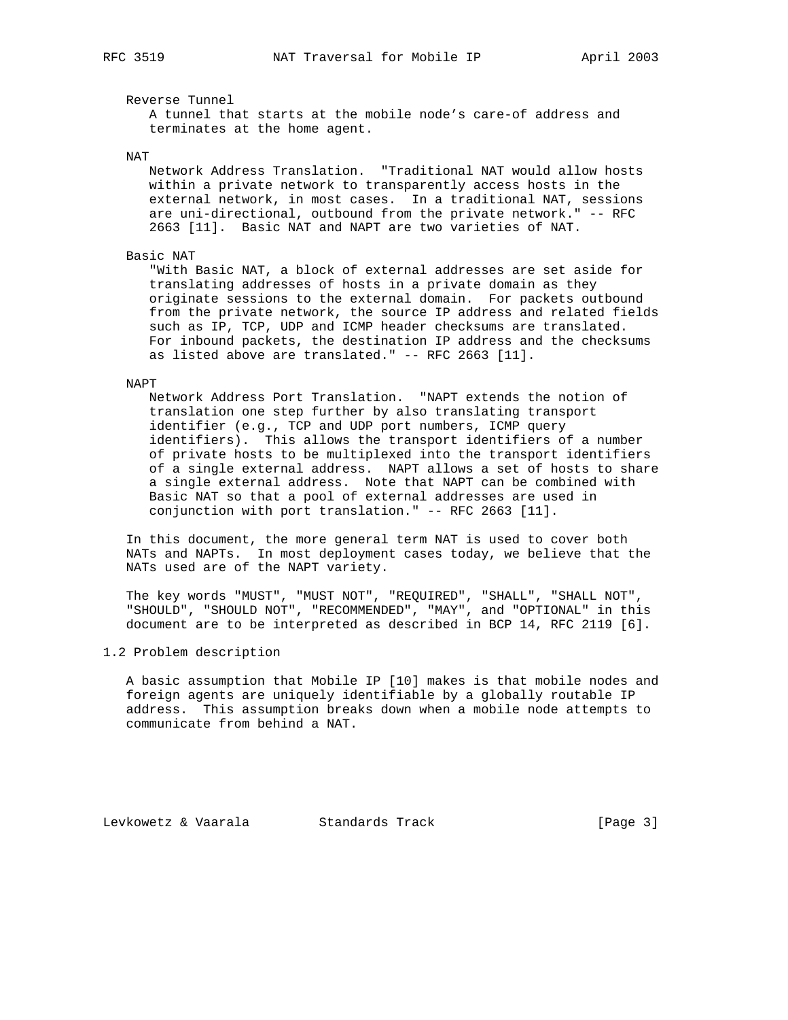Reverse Tunnel

 A tunnel that starts at the mobile node's care-of address and terminates at the home agent.

NAT

 Network Address Translation. "Traditional NAT would allow hosts within a private network to transparently access hosts in the external network, in most cases. In a traditional NAT, sessions are uni-directional, outbound from the private network." -- RFC 2663 [11]. Basic NAT and NAPT are two varieties of NAT.

#### Basic NAT

 "With Basic NAT, a block of external addresses are set aside for translating addresses of hosts in a private domain as they originate sessions to the external domain. For packets outbound from the private network, the source IP address and related fields such as IP, TCP, UDP and ICMP header checksums are translated. For inbound packets, the destination IP address and the checksums as listed above are translated." -- RFC 2663 [11].

#### NAPT

 Network Address Port Translation. "NAPT extends the notion of translation one step further by also translating transport identifier (e.g., TCP and UDP port numbers, ICMP query identifiers). This allows the transport identifiers of a number of private hosts to be multiplexed into the transport identifiers of a single external address. NAPT allows a set of hosts to share a single external address. Note that NAPT can be combined with Basic NAT so that a pool of external addresses are used in conjunction with port translation." -- RFC 2663 [11].

 In this document, the more general term NAT is used to cover both NATs and NAPTs. In most deployment cases today, we believe that the NATs used are of the NAPT variety.

 The key words "MUST", "MUST NOT", "REQUIRED", "SHALL", "SHALL NOT", "SHOULD", "SHOULD NOT", "RECOMMENDED", "MAY", and "OPTIONAL" in this document are to be interpreted as described in BCP 14, RFC 2119 [6].

# 1.2 Problem description

 A basic assumption that Mobile IP [10] makes is that mobile nodes and foreign agents are uniquely identifiable by a globally routable IP address. This assumption breaks down when a mobile node attempts to communicate from behind a NAT.

Levkowetz & Vaarala Standards Track [Page 3]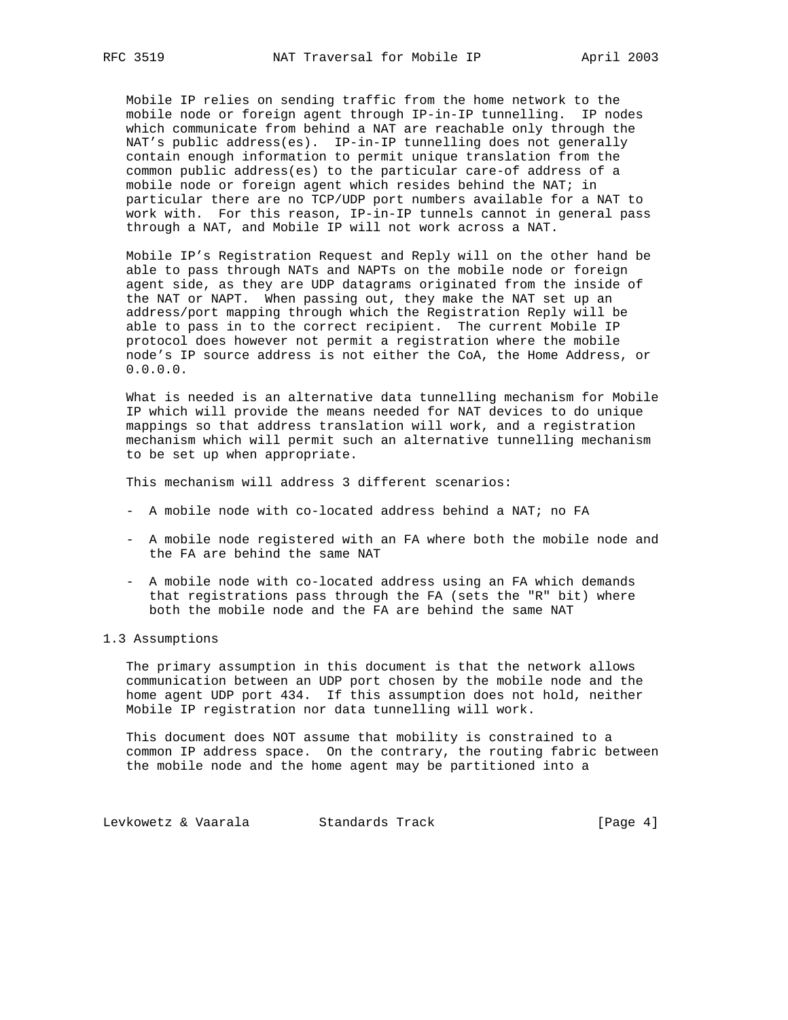Mobile IP relies on sending traffic from the home network to the mobile node or foreign agent through IP-in-IP tunnelling. IP nodes which communicate from behind a NAT are reachable only through the NAT's public address(es). IP-in-IP tunnelling does not generally contain enough information to permit unique translation from the common public address(es) to the particular care-of address of a mobile node or foreign agent which resides behind the NAT; in particular there are no TCP/UDP port numbers available for a NAT to work with. For this reason, IP-in-IP tunnels cannot in general pass through a NAT, and Mobile IP will not work across a NAT.

 Mobile IP's Registration Request and Reply will on the other hand be able to pass through NATs and NAPTs on the mobile node or foreign agent side, as they are UDP datagrams originated from the inside of the NAT or NAPT. When passing out, they make the NAT set up an address/port mapping through which the Registration Reply will be able to pass in to the correct recipient. The current Mobile IP protocol does however not permit a registration where the mobile node's IP source address is not either the CoA, the Home Address, or 0.0.0.0.

 What is needed is an alternative data tunnelling mechanism for Mobile IP which will provide the means needed for NAT devices to do unique mappings so that address translation will work, and a registration mechanism which will permit such an alternative tunnelling mechanism to be set up when appropriate.

This mechanism will address 3 different scenarios:

- A mobile node with co-located address behind a NAT; no FA
- A mobile node registered with an FA where both the mobile node and the FA are behind the same NAT
- A mobile node with co-located address using an FA which demands that registrations pass through the FA (sets the "R" bit) where both the mobile node and the FA are behind the same NAT

## 1.3 Assumptions

 The primary assumption in this document is that the network allows communication between an UDP port chosen by the mobile node and the home agent UDP port 434. If this assumption does not hold, neither Mobile IP registration nor data tunnelling will work.

 This document does NOT assume that mobility is constrained to a common IP address space. On the contrary, the routing fabric between the mobile node and the home agent may be partitioned into a

Levkowetz & Vaarala Standards Track (Page 4)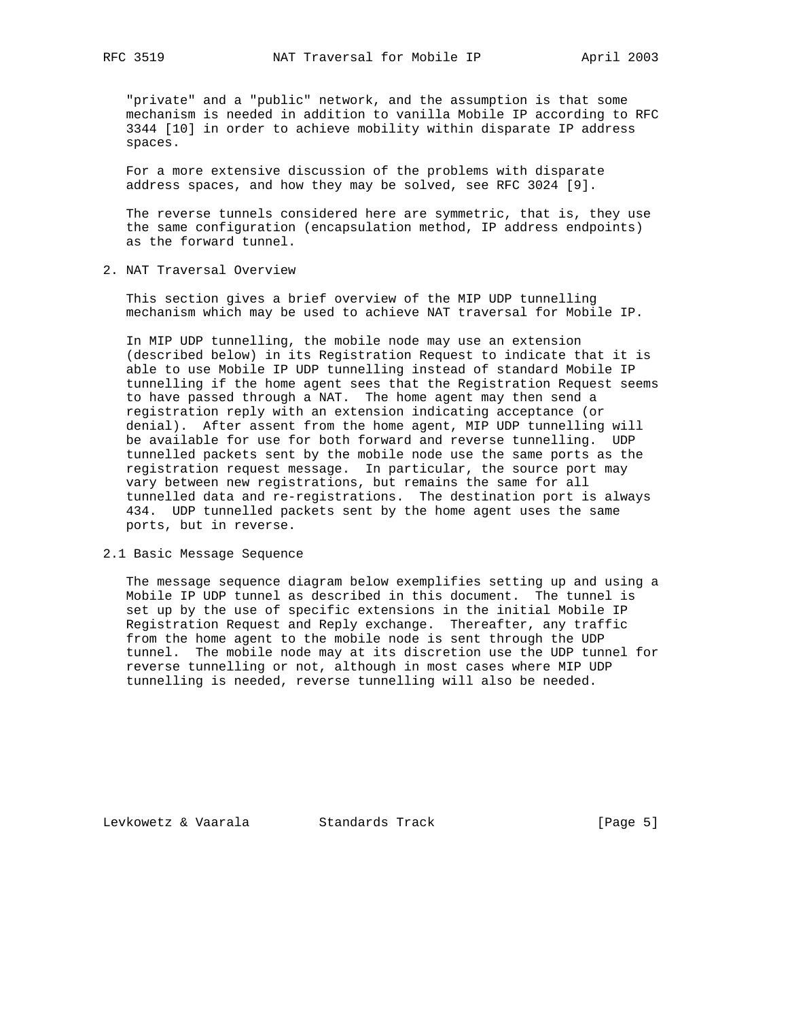"private" and a "public" network, and the assumption is that some mechanism is needed in addition to vanilla Mobile IP according to RFC 3344 [10] in order to achieve mobility within disparate IP address spaces.

 For a more extensive discussion of the problems with disparate address spaces, and how they may be solved, see RFC 3024 [9].

 The reverse tunnels considered here are symmetric, that is, they use the same configuration (encapsulation method, IP address endpoints) as the forward tunnel.

2. NAT Traversal Overview

 This section gives a brief overview of the MIP UDP tunnelling mechanism which may be used to achieve NAT traversal for Mobile IP.

 In MIP UDP tunnelling, the mobile node may use an extension (described below) in its Registration Request to indicate that it is able to use Mobile IP UDP tunnelling instead of standard Mobile IP tunnelling if the home agent sees that the Registration Request seems to have passed through a NAT. The home agent may then send a registration reply with an extension indicating acceptance (or denial). After assent from the home agent, MIP UDP tunnelling will be available for use for both forward and reverse tunnelling. UDP tunnelled packets sent by the mobile node use the same ports as the registration request message. In particular, the source port may vary between new registrations, but remains the same for all tunnelled data and re-registrations. The destination port is always 434. UDP tunnelled packets sent by the home agent uses the same ports, but in reverse.

2.1 Basic Message Sequence

 The message sequence diagram below exemplifies setting up and using a Mobile IP UDP tunnel as described in this document. The tunnel is set up by the use of specific extensions in the initial Mobile IP Registration Request and Reply exchange. Thereafter, any traffic from the home agent to the mobile node is sent through the UDP tunnel. The mobile node may at its discretion use the UDP tunnel for reverse tunnelling or not, although in most cases where MIP UDP tunnelling is needed, reverse tunnelling will also be needed.

Levkowetz & Vaarala Standards Track [Page 5]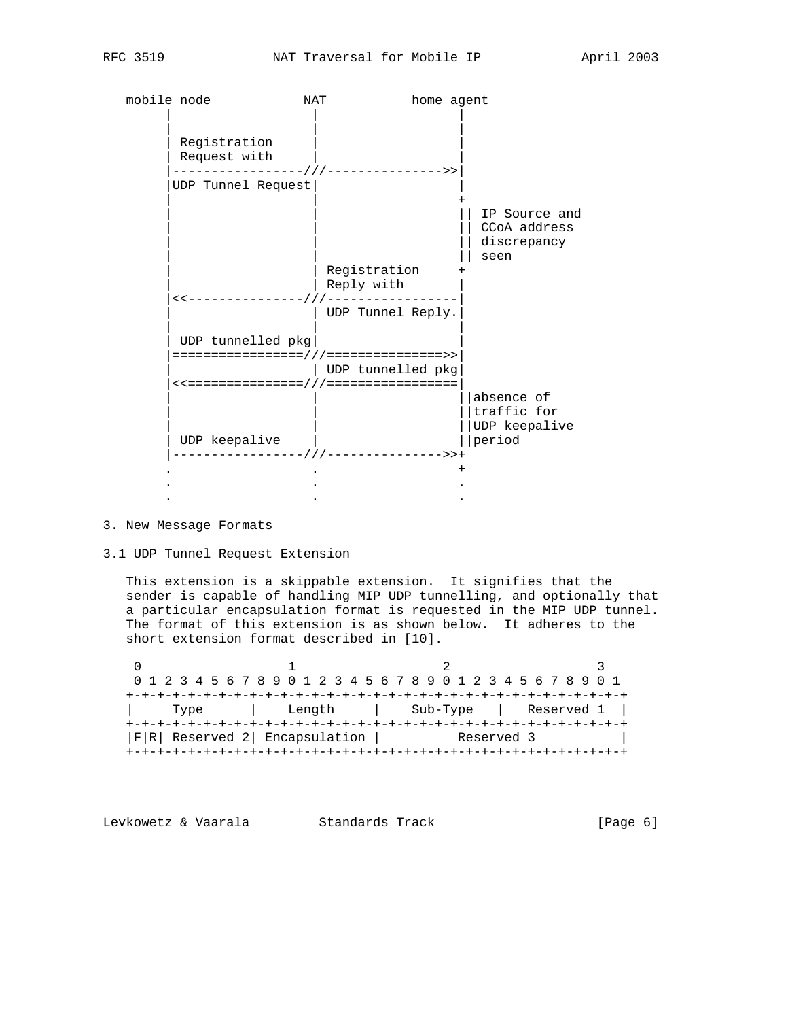| mobile node                                                                      | <b>NAT</b> | home agent                             |                                                      |  |  |  |  |  |  |  |
|----------------------------------------------------------------------------------|------------|----------------------------------------|------------------------------------------------------|--|--|--|--|--|--|--|
| Registration<br>Request with                                                     |            | - / / / - - - - - - - - - - - - - - >> |                                                      |  |  |  |  |  |  |  |
| UDP Tunnel Request                                                               |            |                                        |                                                      |  |  |  |  |  |  |  |
|                                                                                  |            |                                        | IP Source and<br>CCoA address<br>discrepancy<br>seen |  |  |  |  |  |  |  |
|                                                                                  | Reply with | Registration                           |                                                      |  |  |  |  |  |  |  |
| $\prec$ < - - - - - - - - - - - - - -                                            |            | UDP Tunnel Reply.                      |                                                      |  |  |  |  |  |  |  |
| UDP tunnelled pkg                                                                |            |                                        |                                                      |  |  |  |  |  |  |  |
| ====================================>><br><<==================================== |            | UDP tunnelled pkg                      |                                                      |  |  |  |  |  |  |  |
| UDP keepalive                                                                    |            |                                        | absence of<br>traffic for<br>UDP keepalive<br>period |  |  |  |  |  |  |  |
|                                                                                  |            | ----------------///-------------->>+   |                                                      |  |  |  |  |  |  |  |
|                                                                                  |            |                                        |                                                      |  |  |  |  |  |  |  |

# 3. New Message Formats

#### 3.1 UDP Tunnel Request Extension

 This extension is a skippable extension. It signifies that the sender is capable of handling MIP UDP tunnelling, and optionally that a particular encapsulation format is requested in the MIP UDP tunnel. The format of this extension is as shown below. It adheres to the short extension format described in [10].

0  $1$  2 3 0 1 2 3 4 5 6 7 8 9 0 1 2 3 4 5 6 7 8 9 0 1 2 3 4 5 6 7 8 9 0 1 +-+-+-+-+-+-+-+-+-+-+-+-+-+-+-+-+-+-+-+-+-+-+-+-+-+-+-+-+-+-+-+-+ | Type | Length | Sub-Type | Reserved 1 | +-+-+-+-+-+-+-+-+-+-+-+-+-+-+-+-+-+-+-+-+-+-+-+-+-+-+-+-+-+-+-+-+ |F|R| Reserved 2| Encapsulation | Reserved 3 | +-+-+-+-+-+-+-+-+-+-+-+-+-+-+-+-+-+-+-+-+-+-+-+-+-+-+-+-+-+-+-+-+

Levkowetz & Vaarala Standards Track (Page 6)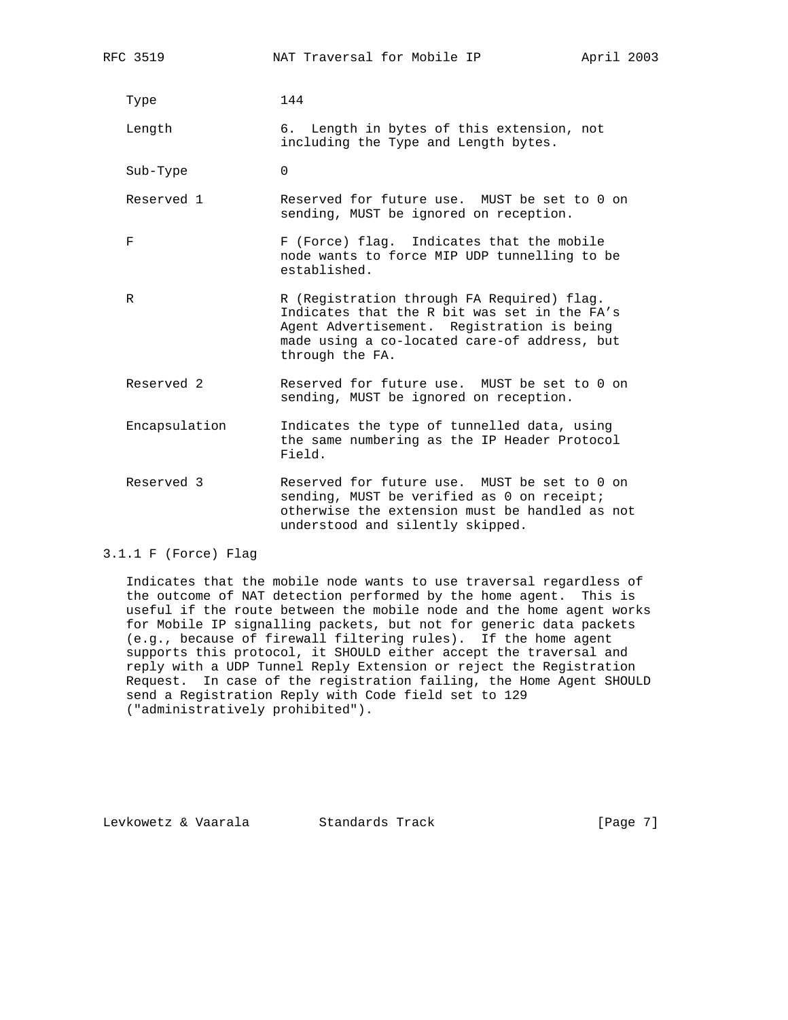| RFC 3519      | NAT Traversal for Mobile IP                                                                                                                                                                                 | April 2003 |  |
|---------------|-------------------------------------------------------------------------------------------------------------------------------------------------------------------------------------------------------------|------------|--|
| Type          | 144                                                                                                                                                                                                         |            |  |
| Length        | 6. Length in bytes of this extension, not<br>including the Type and Length bytes.                                                                                                                           |            |  |
| Sub-Type      | $\Omega$                                                                                                                                                                                                    |            |  |
| Reserved 1    | Reserved for future use. MUST be set to 0 on<br>sending, MUST be ignored on reception.                                                                                                                      |            |  |
| F             | F (Force) flag. Indicates that the mobile<br>node wants to force MIP UDP tunnelling to be<br>established.                                                                                                   |            |  |
| R             | R (Registration through FA Required) flag.<br>Indicates that the R bit was set in the FA's<br>Agent Advertisement. Registration is being<br>made using a co-located care-of address, but<br>through the FA. |            |  |
| Reserved 2    | Reserved for future use. MUST be set to 0 on<br>sending, MUST be ignored on reception.                                                                                                                      |            |  |
| Encapsulation | Indicates the type of tunnelled data, using<br>the same numbering as the IP Header Protocol<br>Field.                                                                                                       |            |  |
| Reserved 3    | Reserved for future use. MUST be set to 0 on<br>sending, MUST be verified as 0 on receipt;<br>otherwise the extension must be handled as not<br>understood and silently skipped.                            |            |  |

#### 3.1.1 F (Force) Flag

 Indicates that the mobile node wants to use traversal regardless of the outcome of NAT detection performed by the home agent. This is useful if the route between the mobile node and the home agent works for Mobile IP signalling packets, but not for generic data packets (e.g., because of firewall filtering rules). If the home agent supports this protocol, it SHOULD either accept the traversal and reply with a UDP Tunnel Reply Extension or reject the Registration Request. In case of the registration failing, the Home Agent SHOULD send a Registration Reply with Code field set to 129 ("administratively prohibited").

Levkowetz & Vaarala Standards Track [Page 7]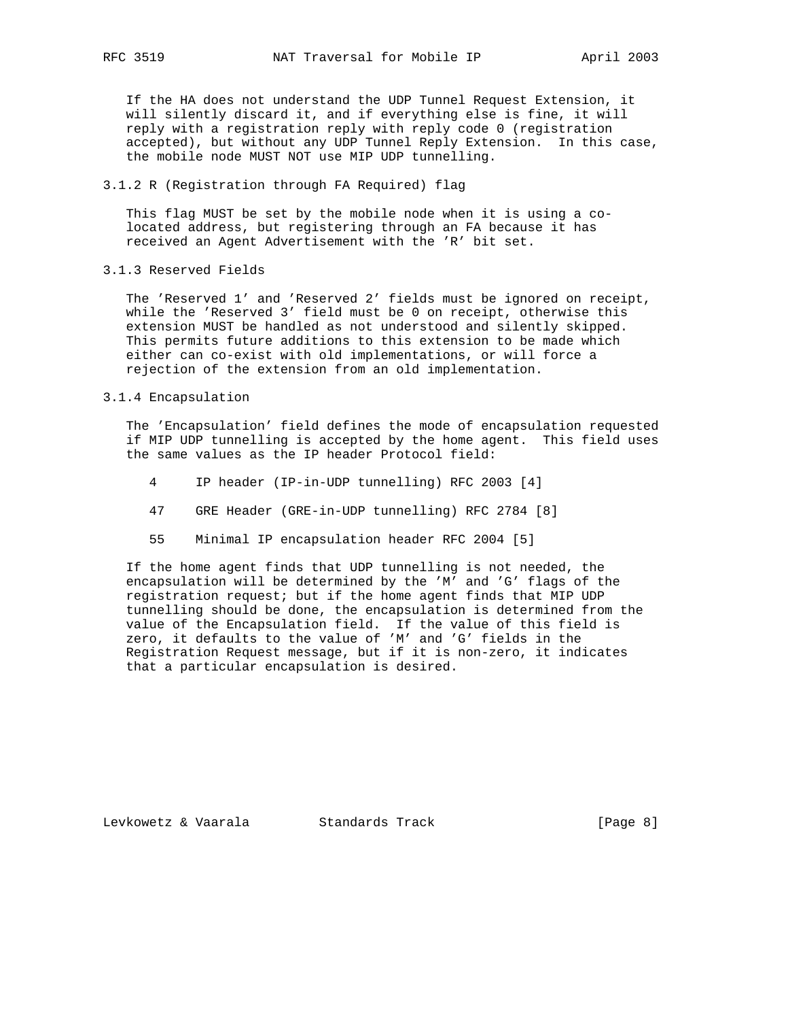If the HA does not understand the UDP Tunnel Request Extension, it will silently discard it, and if everything else is fine, it will reply with a registration reply with reply code 0 (registration accepted), but without any UDP Tunnel Reply Extension. In this case, the mobile node MUST NOT use MIP UDP tunnelling.

## 3.1.2 R (Registration through FA Required) flag

 This flag MUST be set by the mobile node when it is using a co located address, but registering through an FA because it has received an Agent Advertisement with the 'R' bit set.

3.1.3 Reserved Fields

 The 'Reserved 1' and 'Reserved 2' fields must be ignored on receipt, while the 'Reserved 3' field must be 0 on receipt, otherwise this extension MUST be handled as not understood and silently skipped. This permits future additions to this extension to be made which either can co-exist with old implementations, or will force a rejection of the extension from an old implementation.

#### 3.1.4 Encapsulation

 The 'Encapsulation' field defines the mode of encapsulation requested if MIP UDP tunnelling is accepted by the home agent. This field uses the same values as the IP header Protocol field:

- 4 IP header (IP-in-UDP tunnelling) RFC 2003 [4]
- 47 GRE Header (GRE-in-UDP tunnelling) RFC 2784 [8]
- 55 Minimal IP encapsulation header RFC 2004 [5]

 If the home agent finds that UDP tunnelling is not needed, the encapsulation will be determined by the 'M' and 'G' flags of the registration request; but if the home agent finds that MIP UDP tunnelling should be done, the encapsulation is determined from the value of the Encapsulation field. If the value of this field is zero, it defaults to the value of 'M' and 'G' fields in the Registration Request message, but if it is non-zero, it indicates that a particular encapsulation is desired.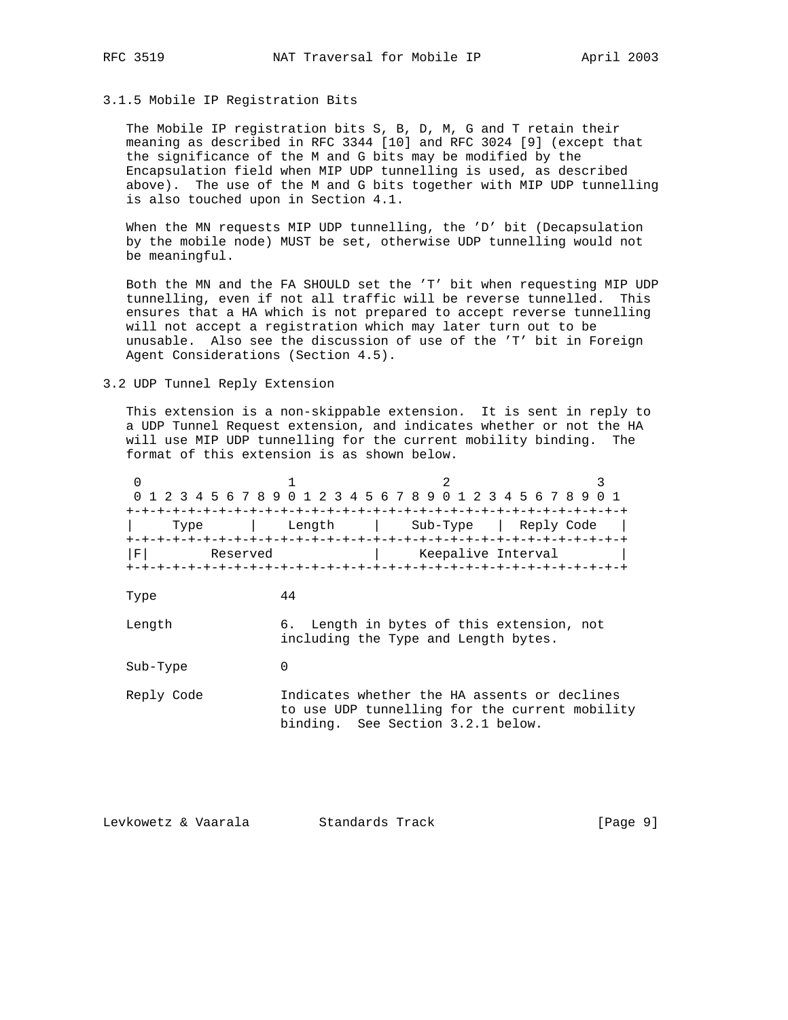# 3.1.5 Mobile IP Registration Bits

 The Mobile IP registration bits S, B, D, M, G and T retain their meaning as described in RFC 3344 [10] and RFC 3024 [9] (except that the significance of the M and G bits may be modified by the Encapsulation field when MIP UDP tunnelling is used, as described above). The use of the M and G bits together with MIP UDP tunnelling is also touched upon in Section 4.1.

When the MN requests MIP UDP tunnelling, the 'D' bit (Decapsulation by the mobile node) MUST be set, otherwise UDP tunnelling would not be meaningful.

 Both the MN and the FA SHOULD set the 'T' bit when requesting MIP UDP tunnelling, even if not all traffic will be reverse tunnelled. This ensures that a HA which is not prepared to accept reverse tunnelling will not accept a registration which may later turn out to be unusable. Also see the discussion of use of the 'T' bit in Foreign Agent Considerations (Section 4.5).

#### 3.2 UDP Tunnel Reply Extension

 This extension is a non-skippable extension. It is sent in reply to a UDP Tunnel Request extension, and indicates whether or not the HA will use MIP UDP tunnelling for the current mobility binding. The format of this extension is as shown below.

0  $1$  2 3 0 1 2 3 4 5 6 7 8 9 0 1 2 3 4 5 6 7 8 9 0 1 2 3 4 5 6 7 8 9 0 1 +-+-+-+-+-+-+-+-+-+-+-+-+-+-+-+-+-+-+-+-+-+-+-+-+-+-+-+-+-+-+-+-+ | Type | Length | Sub-Type | Reply Code | +-+-+-+-+-+-+-+-+-+-+-+-+-+-+-+-+-+-+-+-+-+-+-+-+-+-+-+-+-+-+-+-+ |F| Reserved | Keepalive Interval | +-+-+-+-+-+-+-+-+-+-+-+-+-+-+-+-+-+-+-+-+-+-+-+-+-+-+-+-+-+-+-+-+ Type 44 Length 6. Length in bytes of this extension, not including the Type and Length bytes. Sub-Type 0 Reply Code Indicates whether the HA assents or declines to use UDP tunnelling for the current mobility binding. See Section 3.2.1 below.

Levkowetz & Vaarala Standards Track [Page 9]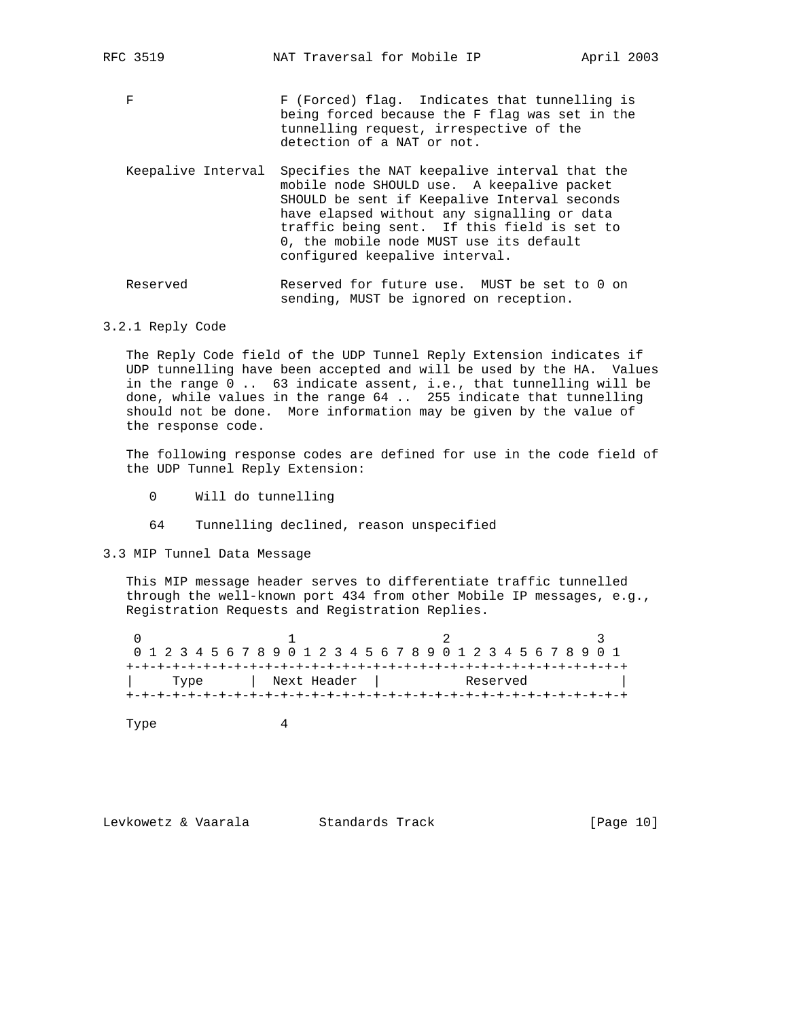- F F (Forced) flag. Indicates that tunnelling is being forced because the F flag was set in the tunnelling request, irrespective of the detection of a NAT or not.
- Keepalive Interval Specifies the NAT keepalive interval that the mobile node SHOULD use. A keepalive packet SHOULD be sent if Keepalive Interval seconds have elapsed without any signalling or data traffic being sent. If this field is set to 0, the mobile node MUST use its default configured keepalive interval.
- Reserved Reserved for future use. MUST be set to 0 on sending, MUST be ignored on reception.

## 3.2.1 Reply Code

 The Reply Code field of the UDP Tunnel Reply Extension indicates if UDP tunnelling have been accepted and will be used by the HA. Values in the range 0 .. 63 indicate assent, i.e., that tunnelling will be done, while values in the range 64 .. 255 indicate that tunnelling should not be done. More information may be given by the value of the response code.

 The following response codes are defined for use in the code field of the UDP Tunnel Reply Extension:

- 0 Will do tunnelling
- 64 Tunnelling declined, reason unspecified

3.3 MIP Tunnel Data Message

 This MIP message header serves to differentiate traffic tunnelled through the well-known port 434 from other Mobile IP messages, e.g., Registration Requests and Registration Replies.

| 0 1 2 3 4 5 6 7 8 9 0 1 2 3 4 5 6 7 8 9 0 1 2 3 4 5 6 7 8 9 0 1 |  |      |  |  |  |  |  |  |  |  |  |  |  |  |  |  |          |  |  |  |  |
|-----------------------------------------------------------------|--|------|--|--|--|--|--|--|--|--|--|--|--|--|--|--|----------|--|--|--|--|
|                                                                 |  |      |  |  |  |  |  |  |  |  |  |  |  |  |  |  |          |  |  |  |  |
|                                                                 |  | Type |  |  |  |  |  |  |  |  |  |  |  |  |  |  | Reserved |  |  |  |  |
| Next Header                                                     |  |      |  |  |  |  |  |  |  |  |  |  |  |  |  |  |          |  |  |  |  |
|                                                                 |  |      |  |  |  |  |  |  |  |  |  |  |  |  |  |  |          |  |  |  |  |

Type 4

Levkowetz & Vaarala Standards Track [Page 10]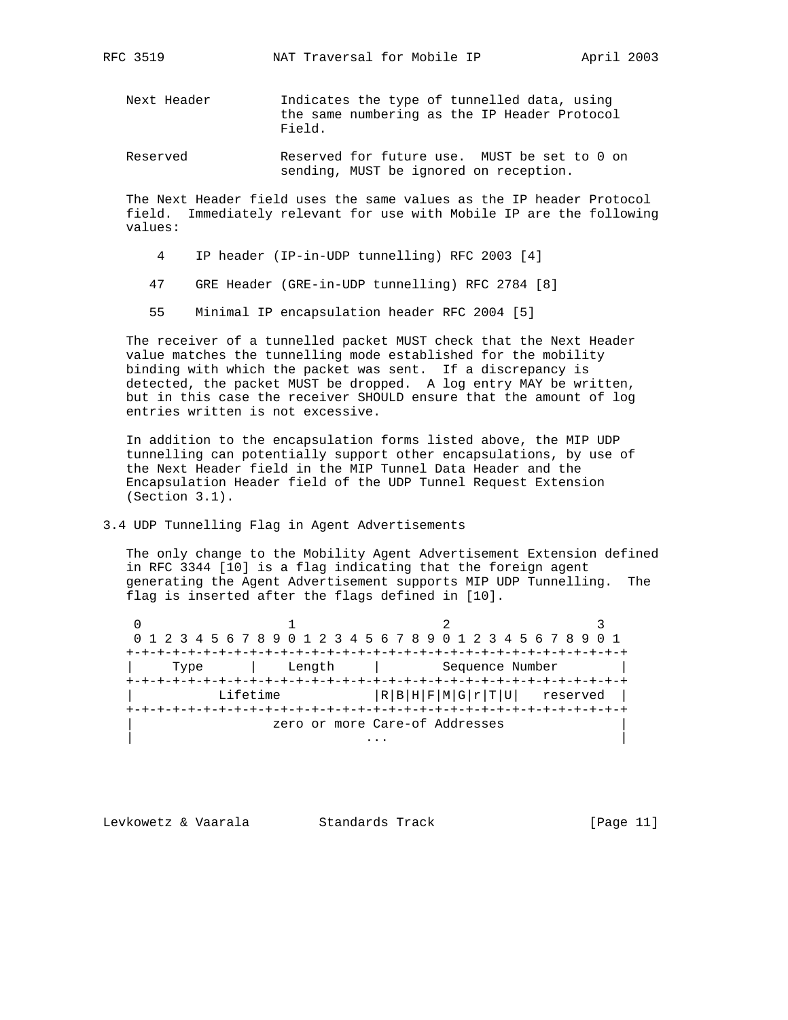- Next Header Indicates the type of tunnelled data, using the same numbering as the IP Header Protocol Field.
- Reserved Reserved for future use. MUST be set to 0 on sending, MUST be ignored on reception.

 The Next Header field uses the same values as the IP header Protocol field. Immediately relevant for use with Mobile IP are the following values:

- 4 IP header (IP-in-UDP tunnelling) RFC 2003 [4]
- 47 GRE Header (GRE-in-UDP tunnelling) RFC 2784 [8]
- 55 Minimal IP encapsulation header RFC 2004 [5]

 The receiver of a tunnelled packet MUST check that the Next Header value matches the tunnelling mode established for the mobility binding with which the packet was sent. If a discrepancy is detected, the packet MUST be dropped. A log entry MAY be written, but in this case the receiver SHOULD ensure that the amount of log entries written is not excessive.

 In addition to the encapsulation forms listed above, the MIP UDP tunnelling can potentially support other encapsulations, by use of the Next Header field in the MIP Tunnel Data Header and the Encapsulation Header field of the UDP Tunnel Request Extension (Section 3.1).

3.4 UDP Tunnelling Flag in Agent Advertisements

 The only change to the Mobility Agent Advertisement Extension defined in RFC 3344 [10] is a flag indicating that the foreign agent generating the Agent Advertisement supports MIP UDP Tunnelling. The flag is inserted after the flags defined in [10].

0  $1$  2 3 0 1 2 3 4 5 6 7 8 9 0 1 2 3 4 5 6 7 8 9 0 1 2 3 4 5 6 7 8 9 0 1 +-+-+-+-+-+-+-+-+-+-+-+-+-+-+-+-+-+-+-+-+-+-+-+-+-+-+-+-+-+-+-+-+ | Type | Length | Sequence Number | +-+-+-+-+-+-+-+-+-+-+-+-+-+-+-+-+-+-+-+-+-+-+-+-+-+-+-+-+-+-+-+-+  $Lifetime$  |R|B|H|F|M|G|r|T|U| reserved | +-+-+-+-+-+-+-+-+-+-+-+-+-+-+-+-+-+-+-+-+-+-+-+-+-+-+-+-+-+-+-+-+ zero or more Care-of Addresses | ... | ... | ... | ... | ... | ... | ... | ... | ... | ... | ... | ... | ... | ... | ... | ... | ... | ... | .

Levkowetz & Vaarala Standards Track [Page 11]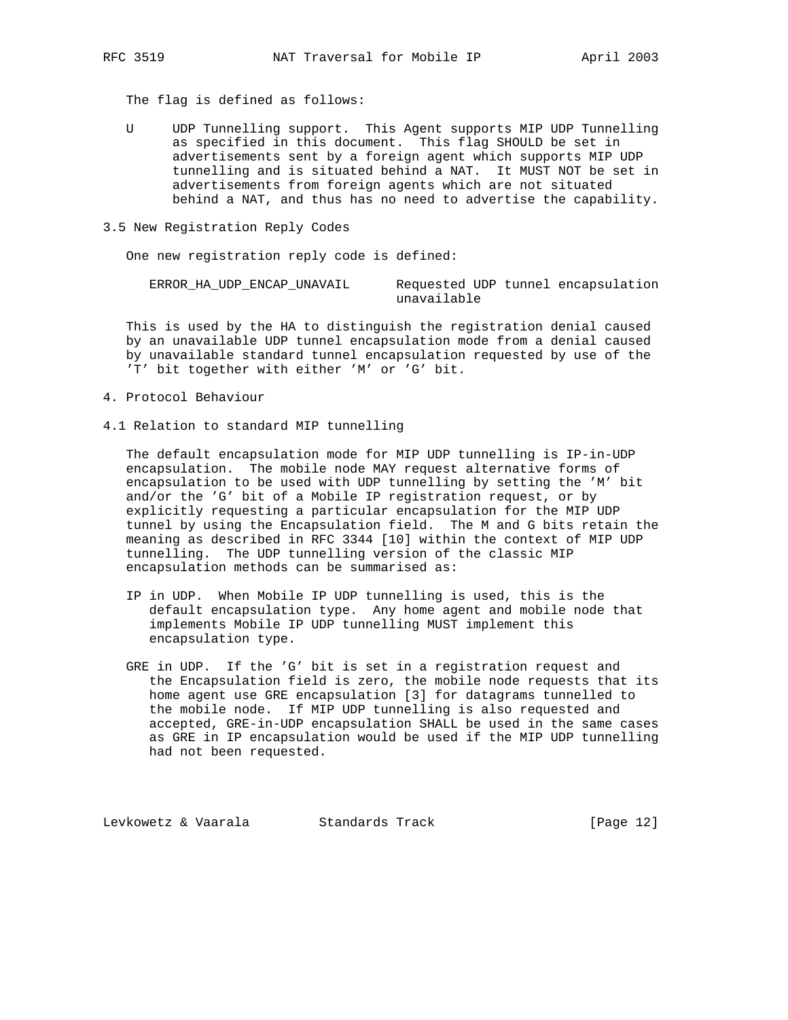The flag is defined as follows:

 U UDP Tunnelling support. This Agent supports MIP UDP Tunnelling as specified in this document. This flag SHOULD be set in advertisements sent by a foreign agent which supports MIP UDP tunnelling and is situated behind a NAT. It MUST NOT be set in advertisements from foreign agents which are not situated behind a NAT, and thus has no need to advertise the capability.

#### 3.5 New Registration Reply Codes

One new registration reply code is defined:

| ERROR HA UDP ENCAP UNAVAIL | Requested UDP tunnel encapsulation |
|----------------------------|------------------------------------|
|                            | unavailable                        |

 This is used by the HA to distinguish the registration denial caused by an unavailable UDP tunnel encapsulation mode from a denial caused by unavailable standard tunnel encapsulation requested by use of the 'T' bit together with either 'M' or 'G' bit.

- 4. Protocol Behaviour
- 4.1 Relation to standard MIP tunnelling

 The default encapsulation mode for MIP UDP tunnelling is IP-in-UDP encapsulation. The mobile node MAY request alternative forms of encapsulation to be used with UDP tunnelling by setting the 'M' bit and/or the 'G' bit of a Mobile IP registration request, or by explicitly requesting a particular encapsulation for the MIP UDP tunnel by using the Encapsulation field. The M and G bits retain the meaning as described in RFC 3344 [10] within the context of MIP UDP tunnelling. The UDP tunnelling version of the classic MIP encapsulation methods can be summarised as:

- IP in UDP. When Mobile IP UDP tunnelling is used, this is the default encapsulation type. Any home agent and mobile node that implements Mobile IP UDP tunnelling MUST implement this encapsulation type.
- GRE in UDP. If the 'G' bit is set in a registration request and the Encapsulation field is zero, the mobile node requests that its home agent use GRE encapsulation [3] for datagrams tunnelled to the mobile node. If MIP UDP tunnelling is also requested and accepted, GRE-in-UDP encapsulation SHALL be used in the same cases as GRE in IP encapsulation would be used if the MIP UDP tunnelling had not been requested.

Levkowetz & Vaarala Standards Track [Page 12]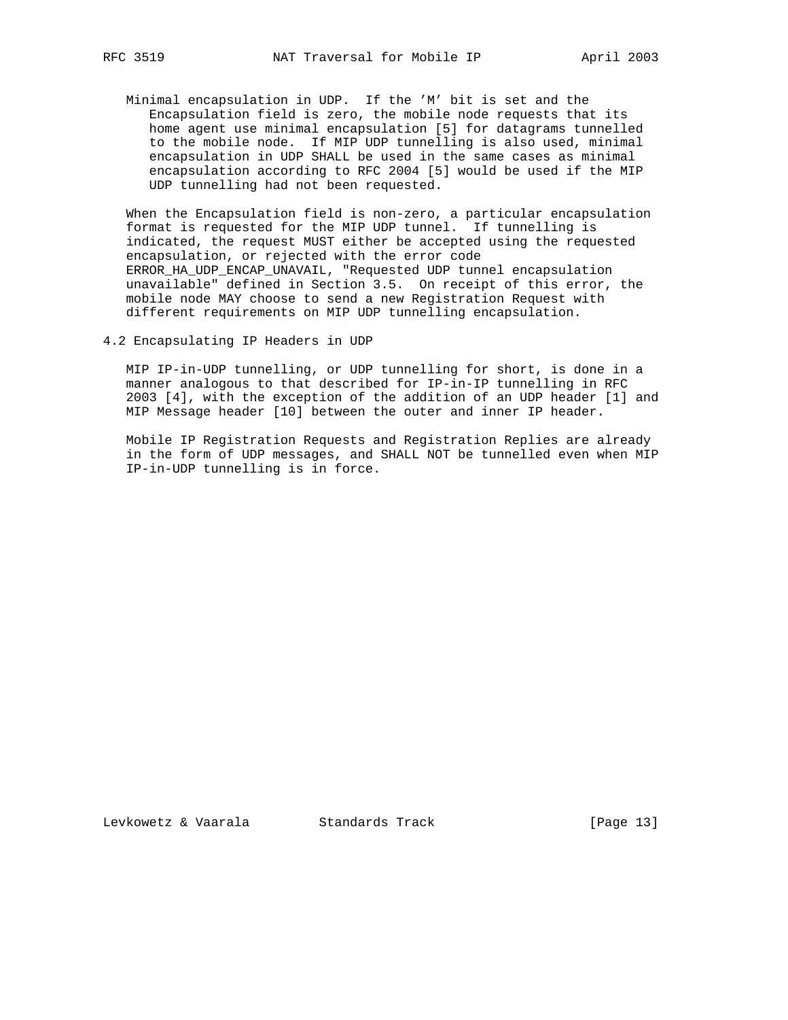Minimal encapsulation in UDP. If the 'M' bit is set and the Encapsulation field is zero, the mobile node requests that its home agent use minimal encapsulation [5] for datagrams tunnelled to the mobile node. If MIP UDP tunnelling is also used, minimal encapsulation in UDP SHALL be used in the same cases as minimal encapsulation according to RFC 2004 [5] would be used if the MIP UDP tunnelling had not been requested.

 When the Encapsulation field is non-zero, a particular encapsulation format is requested for the MIP UDP tunnel. If tunnelling is indicated, the request MUST either be accepted using the requested encapsulation, or rejected with the error code ERROR\_HA\_UDP\_ENCAP\_UNAVAIL, "Requested UDP tunnel encapsulation unavailable" defined in Section 3.5. On receipt of this error, the mobile node MAY choose to send a new Registration Request with different requirements on MIP UDP tunnelling encapsulation.

4.2 Encapsulating IP Headers in UDP

 MIP IP-in-UDP tunnelling, or UDP tunnelling for short, is done in a manner analogous to that described for IP-in-IP tunnelling in RFC 2003 [4], with the exception of the addition of an UDP header [1] and MIP Message header [10] between the outer and inner IP header.

 Mobile IP Registration Requests and Registration Replies are already in the form of UDP messages, and SHALL NOT be tunnelled even when MIP IP-in-UDP tunnelling is in force.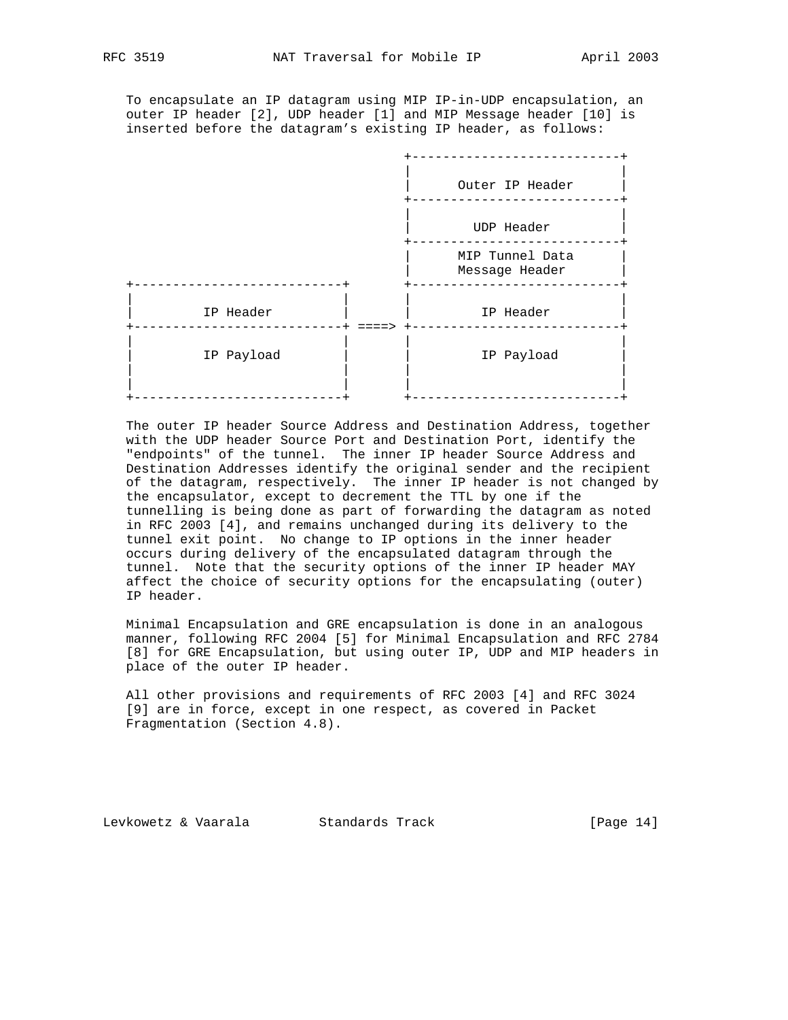To encapsulate an IP datagram using MIP IP-in-UDP encapsulation, an outer IP header [2], UDP header [1] and MIP Message header [10] is inserted before the datagram's existing IP header, as follows:

|                                | Outer IP Header                   |
|--------------------------------|-----------------------------------|
|                                | UDP Header                        |
|                                | MIP Tunnel Data<br>Message Header |
| IP Header<br>$=$ $\Rightarrow$ | IP Header                         |
| IP Payload                     | IP Payload                        |

 The outer IP header Source Address and Destination Address, together with the UDP header Source Port and Destination Port, identify the "endpoints" of the tunnel. The inner IP header Source Address and Destination Addresses identify the original sender and the recipient of the datagram, respectively. The inner IP header is not changed by the encapsulator, except to decrement the TTL by one if the tunnelling is being done as part of forwarding the datagram as noted in RFC 2003 [4], and remains unchanged during its delivery to the tunnel exit point. No change to IP options in the inner header occurs during delivery of the encapsulated datagram through the tunnel. Note that the security options of the inner IP header MAY affect the choice of security options for the encapsulating (outer) IP header.

 Minimal Encapsulation and GRE encapsulation is done in an analogous manner, following RFC 2004 [5] for Minimal Encapsulation and RFC 2784 [8] for GRE Encapsulation, but using outer IP, UDP and MIP headers in place of the outer IP header.

 All other provisions and requirements of RFC 2003 [4] and RFC 3024 [9] are in force, except in one respect, as covered in Packet Fragmentation (Section 4.8).

Levkowetz & Vaarala Standards Track [Page 14]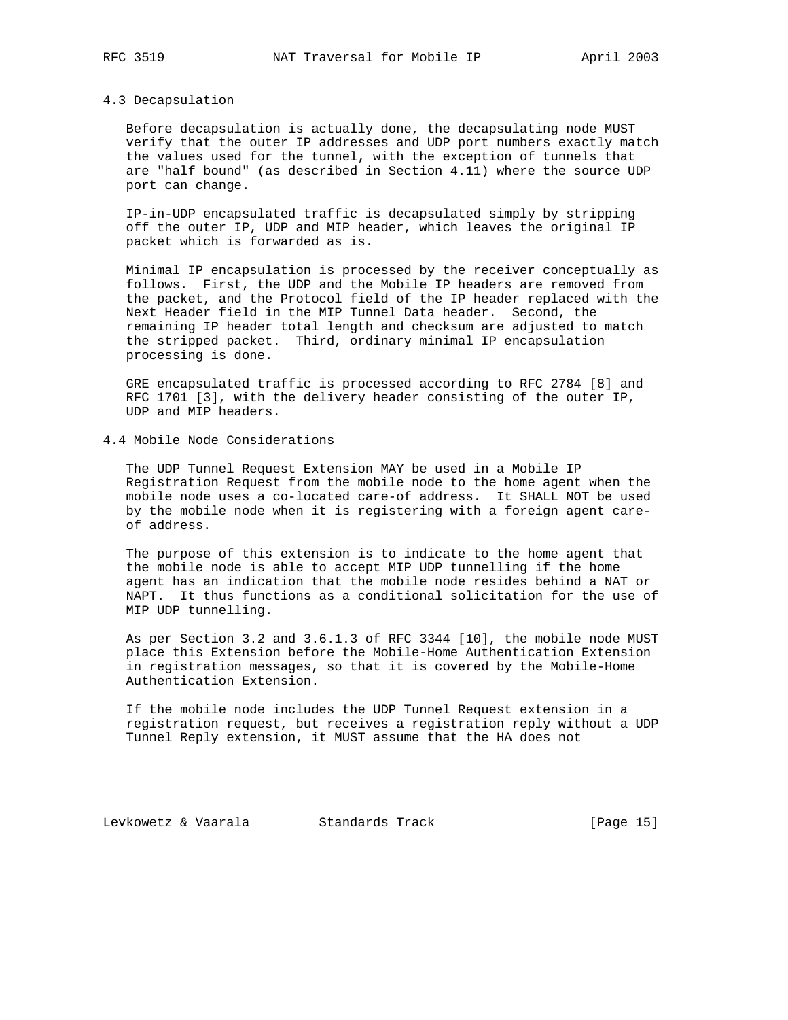#### 4.3 Decapsulation

 Before decapsulation is actually done, the decapsulating node MUST verify that the outer IP addresses and UDP port numbers exactly match the values used for the tunnel, with the exception of tunnels that are "half bound" (as described in Section 4.11) where the source UDP port can change.

 IP-in-UDP encapsulated traffic is decapsulated simply by stripping off the outer IP, UDP and MIP header, which leaves the original IP packet which is forwarded as is.

 Minimal IP encapsulation is processed by the receiver conceptually as follows. First, the UDP and the Mobile IP headers are removed from the packet, and the Protocol field of the IP header replaced with the Next Header field in the MIP Tunnel Data header. Second, the remaining IP header total length and checksum are adjusted to match the stripped packet. Third, ordinary minimal IP encapsulation processing is done.

 GRE encapsulated traffic is processed according to RFC 2784 [8] and RFC 1701 [3], with the delivery header consisting of the outer IP, UDP and MIP headers.

4.4 Mobile Node Considerations

 The UDP Tunnel Request Extension MAY be used in a Mobile IP Registration Request from the mobile node to the home agent when the mobile node uses a co-located care-of address. It SHALL NOT be used by the mobile node when it is registering with a foreign agent care of address.

 The purpose of this extension is to indicate to the home agent that the mobile node is able to accept MIP UDP tunnelling if the home agent has an indication that the mobile node resides behind a NAT or NAPT. It thus functions as a conditional solicitation for the use of MIP UDP tunnelling.

 As per Section 3.2 and 3.6.1.3 of RFC 3344 [10], the mobile node MUST place this Extension before the Mobile-Home Authentication Extension in registration messages, so that it is covered by the Mobile-Home Authentication Extension.

 If the mobile node includes the UDP Tunnel Request extension in a registration request, but receives a registration reply without a UDP Tunnel Reply extension, it MUST assume that the HA does not

Levkowetz & Vaarala Standards Track [Page 15]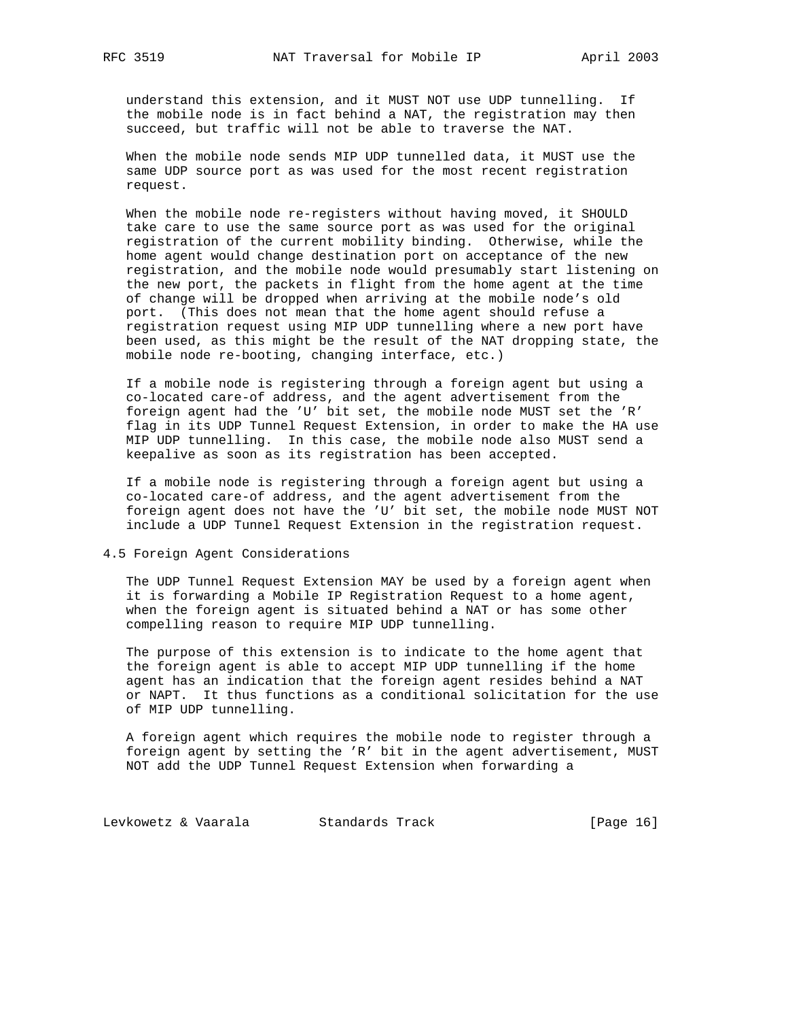understand this extension, and it MUST NOT use UDP tunnelling. If the mobile node is in fact behind a NAT, the registration may then succeed, but traffic will not be able to traverse the NAT.

 When the mobile node sends MIP UDP tunnelled data, it MUST use the same UDP source port as was used for the most recent registration request.

 When the mobile node re-registers without having moved, it SHOULD take care to use the same source port as was used for the original registration of the current mobility binding. Otherwise, while the home agent would change destination port on acceptance of the new registration, and the mobile node would presumably start listening on the new port, the packets in flight from the home agent at the time of change will be dropped when arriving at the mobile node's old port. (This does not mean that the home agent should refuse a registration request using MIP UDP tunnelling where a new port have been used, as this might be the result of the NAT dropping state, the mobile node re-booting, changing interface, etc.)

 If a mobile node is registering through a foreign agent but using a co-located care-of address, and the agent advertisement from the foreign agent had the 'U' bit set, the mobile node MUST set the 'R' flag in its UDP Tunnel Request Extension, in order to make the HA use MIP UDP tunnelling. In this case, the mobile node also MUST send a keepalive as soon as its registration has been accepted.

 If a mobile node is registering through a foreign agent but using a co-located care-of address, and the agent advertisement from the foreign agent does not have the 'U' bit set, the mobile node MUST NOT include a UDP Tunnel Request Extension in the registration request.

4.5 Foreign Agent Considerations

 The UDP Tunnel Request Extension MAY be used by a foreign agent when it is forwarding a Mobile IP Registration Request to a home agent, when the foreign agent is situated behind a NAT or has some other compelling reason to require MIP UDP tunnelling.

 The purpose of this extension is to indicate to the home agent that the foreign agent is able to accept MIP UDP tunnelling if the home agent has an indication that the foreign agent resides behind a NAT or NAPT. It thus functions as a conditional solicitation for the use of MIP UDP tunnelling.

 A foreign agent which requires the mobile node to register through a foreign agent by setting the 'R' bit in the agent advertisement, MUST NOT add the UDP Tunnel Request Extension when forwarding a

Levkowetz & Vaarala Standards Track [Page 16]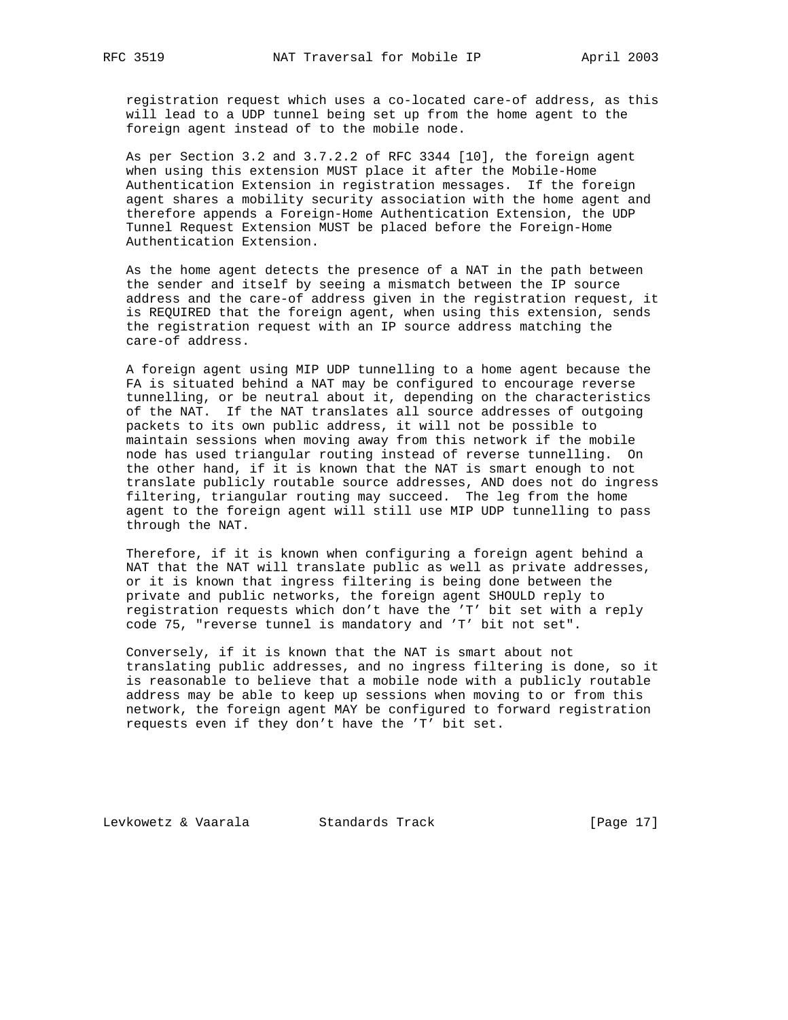registration request which uses a co-located care-of address, as this will lead to a UDP tunnel being set up from the home agent to the foreign agent instead of to the mobile node.

 As per Section 3.2 and 3.7.2.2 of RFC 3344 [10], the foreign agent when using this extension MUST place it after the Mobile-Home Authentication Extension in registration messages. If the foreign agent shares a mobility security association with the home agent and therefore appends a Foreign-Home Authentication Extension, the UDP Tunnel Request Extension MUST be placed before the Foreign-Home Authentication Extension.

 As the home agent detects the presence of a NAT in the path between the sender and itself by seeing a mismatch between the IP source address and the care-of address given in the registration request, it is REQUIRED that the foreign agent, when using this extension, sends the registration request with an IP source address matching the care-of address.

 A foreign agent using MIP UDP tunnelling to a home agent because the FA is situated behind a NAT may be configured to encourage reverse tunnelling, or be neutral about it, depending on the characteristics of the NAT. If the NAT translates all source addresses of outgoing packets to its own public address, it will not be possible to maintain sessions when moving away from this network if the mobile node has used triangular routing instead of reverse tunnelling. On the other hand, if it is known that the NAT is smart enough to not translate publicly routable source addresses, AND does not do ingress filtering, triangular routing may succeed. The leg from the home agent to the foreign agent will still use MIP UDP tunnelling to pass through the NAT.

 Therefore, if it is known when configuring a foreign agent behind a NAT that the NAT will translate public as well as private addresses, or it is known that ingress filtering is being done between the private and public networks, the foreign agent SHOULD reply to registration requests which don't have the 'T' bit set with a reply code 75, "reverse tunnel is mandatory and 'T' bit not set".

 Conversely, if it is known that the NAT is smart about not translating public addresses, and no ingress filtering is done, so it is reasonable to believe that a mobile node with a publicly routable address may be able to keep up sessions when moving to or from this network, the foreign agent MAY be configured to forward registration requests even if they don't have the 'T' bit set.

Levkowetz & Vaarala Standards Track [Page 17]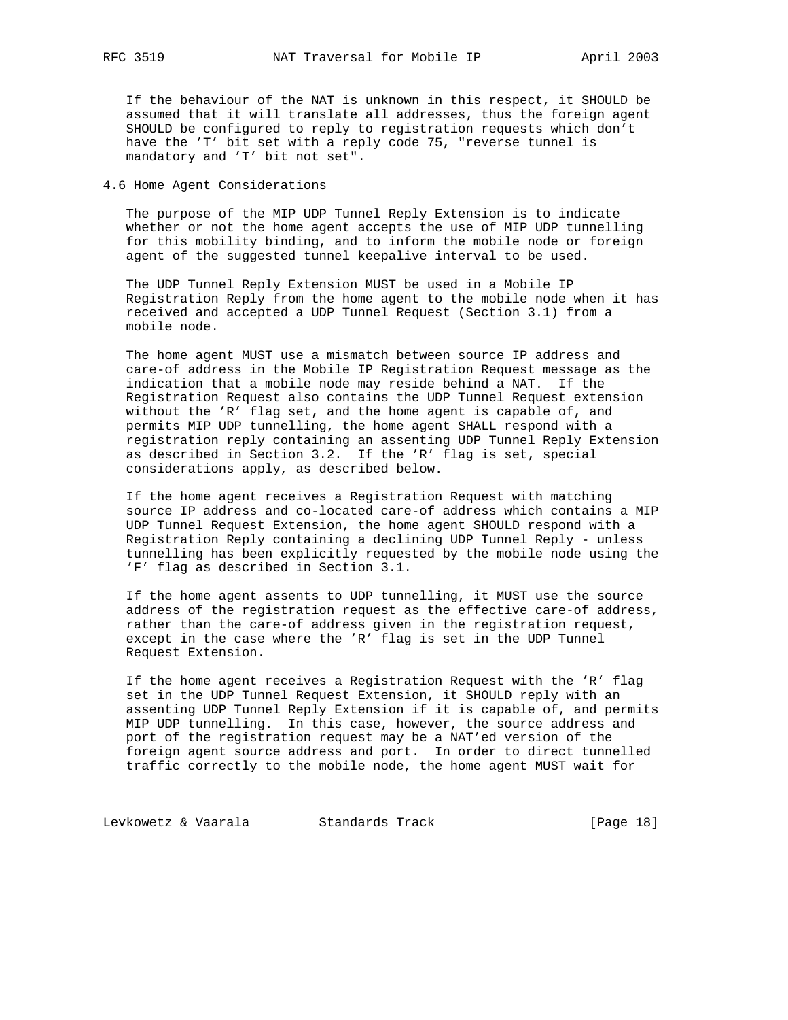If the behaviour of the NAT is unknown in this respect, it SHOULD be assumed that it will translate all addresses, thus the foreign agent SHOULD be configured to reply to registration requests which don't have the 'T' bit set with a reply code 75, "reverse tunnel is mandatory and 'T' bit not set".

## 4.6 Home Agent Considerations

 The purpose of the MIP UDP Tunnel Reply Extension is to indicate whether or not the home agent accepts the use of MIP UDP tunnelling for this mobility binding, and to inform the mobile node or foreign agent of the suggested tunnel keepalive interval to be used.

 The UDP Tunnel Reply Extension MUST be used in a Mobile IP Registration Reply from the home agent to the mobile node when it has received and accepted a UDP Tunnel Request (Section 3.1) from a mobile node.

 The home agent MUST use a mismatch between source IP address and care-of address in the Mobile IP Registration Request message as the indication that a mobile node may reside behind a NAT. If the Registration Request also contains the UDP Tunnel Request extension without the 'R' flag set, and the home agent is capable of, and permits MIP UDP tunnelling, the home agent SHALL respond with a registration reply containing an assenting UDP Tunnel Reply Extension as described in Section 3.2. If the 'R' flag is set, special considerations apply, as described below.

 If the home agent receives a Registration Request with matching source IP address and co-located care-of address which contains a MIP UDP Tunnel Request Extension, the home agent SHOULD respond with a Registration Reply containing a declining UDP Tunnel Reply - unless tunnelling has been explicitly requested by the mobile node using the 'F' flag as described in Section 3.1.

 If the home agent assents to UDP tunnelling, it MUST use the source address of the registration request as the effective care-of address, rather than the care-of address given in the registration request, except in the case where the 'R' flag is set in the UDP Tunnel Request Extension.

 If the home agent receives a Registration Request with the 'R' flag set in the UDP Tunnel Request Extension, it SHOULD reply with an assenting UDP Tunnel Reply Extension if it is capable of, and permits MIP UDP tunnelling. In this case, however, the source address and port of the registration request may be a NAT'ed version of the foreign agent source address and port. In order to direct tunnelled traffic correctly to the mobile node, the home agent MUST wait for

Levkowetz & Vaarala Standards Track [Page 18]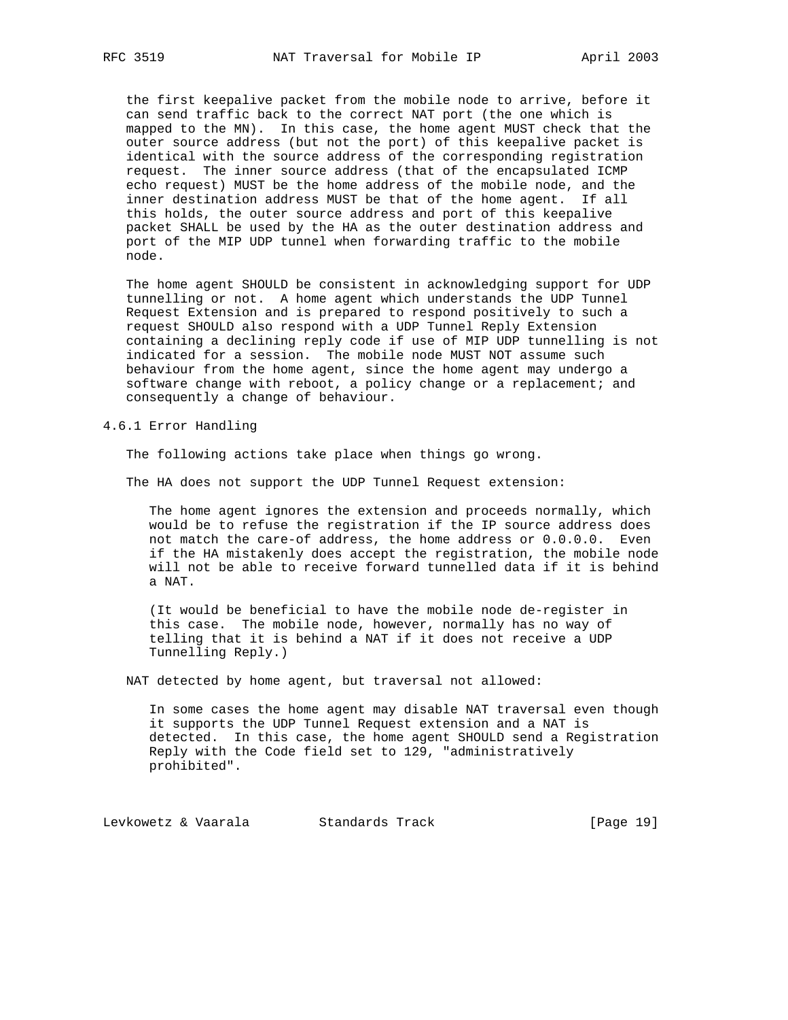the first keepalive packet from the mobile node to arrive, before it can send traffic back to the correct NAT port (the one which is mapped to the MN). In this case, the home agent MUST check that the outer source address (but not the port) of this keepalive packet is identical with the source address of the corresponding registration request. The inner source address (that of the encapsulated ICMP echo request) MUST be the home address of the mobile node, and the inner destination address MUST be that of the home agent. If all this holds, the outer source address and port of this keepalive packet SHALL be used by the HA as the outer destination address and port of the MIP UDP tunnel when forwarding traffic to the mobile node.

 The home agent SHOULD be consistent in acknowledging support for UDP tunnelling or not. A home agent which understands the UDP Tunnel Request Extension and is prepared to respond positively to such a request SHOULD also respond with a UDP Tunnel Reply Extension containing a declining reply code if use of MIP UDP tunnelling is not indicated for a session. The mobile node MUST NOT assume such behaviour from the home agent, since the home agent may undergo a software change with reboot, a policy change or a replacement; and consequently a change of behaviour.

4.6.1 Error Handling

The following actions take place when things go wrong.

The HA does not support the UDP Tunnel Request extension:

 The home agent ignores the extension and proceeds normally, which would be to refuse the registration if the IP source address does not match the care-of address, the home address or 0.0.0.0. Even if the HA mistakenly does accept the registration, the mobile node will not be able to receive forward tunnelled data if it is behind a NAT.

 (It would be beneficial to have the mobile node de-register in this case. The mobile node, however, normally has no way of telling that it is behind a NAT if it does not receive a UDP Tunnelling Reply.)

NAT detected by home agent, but traversal not allowed:

 In some cases the home agent may disable NAT traversal even though it supports the UDP Tunnel Request extension and a NAT is detected. In this case, the home agent SHOULD send a Registration Reply with the Code field set to 129, "administratively prohibited".

Levkowetz & Vaarala Standards Track [Page 19]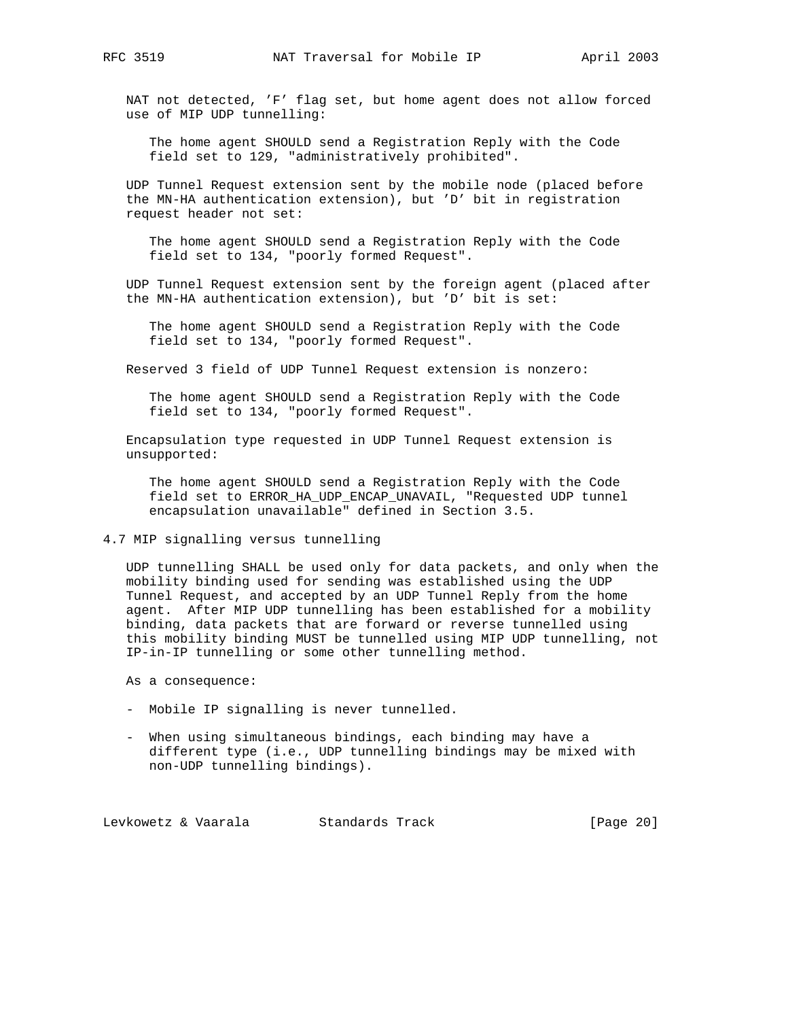NAT not detected, 'F' flag set, but home agent does not allow forced use of MIP UDP tunnelling:

 The home agent SHOULD send a Registration Reply with the Code field set to 129, "administratively prohibited".

 UDP Tunnel Request extension sent by the mobile node (placed before the MN-HA authentication extension), but 'D' bit in registration request header not set:

 The home agent SHOULD send a Registration Reply with the Code field set to 134, "poorly formed Request".

 UDP Tunnel Request extension sent by the foreign agent (placed after the MN-HA authentication extension), but 'D' bit is set:

 The home agent SHOULD send a Registration Reply with the Code field set to 134, "poorly formed Request".

Reserved 3 field of UDP Tunnel Request extension is nonzero:

 The home agent SHOULD send a Registration Reply with the Code field set to 134, "poorly formed Request".

 Encapsulation type requested in UDP Tunnel Request extension is unsupported:

 The home agent SHOULD send a Registration Reply with the Code field set to ERROR\_HA\_UDP\_ENCAP\_UNAVAIL, "Requested UDP tunnel encapsulation unavailable" defined in Section 3.5.

4.7 MIP signalling versus tunnelling

 UDP tunnelling SHALL be used only for data packets, and only when the mobility binding used for sending was established using the UDP Tunnel Request, and accepted by an UDP Tunnel Reply from the home agent. After MIP UDP tunnelling has been established for a mobility binding, data packets that are forward or reverse tunnelled using this mobility binding MUST be tunnelled using MIP UDP tunnelling, not IP-in-IP tunnelling or some other tunnelling method.

As a consequence:

- Mobile IP signalling is never tunnelled.
- When using simultaneous bindings, each binding may have a different type (i.e., UDP tunnelling bindings may be mixed with non-UDP tunnelling bindings).

Levkowetz & Vaarala Standards Track [Page 20]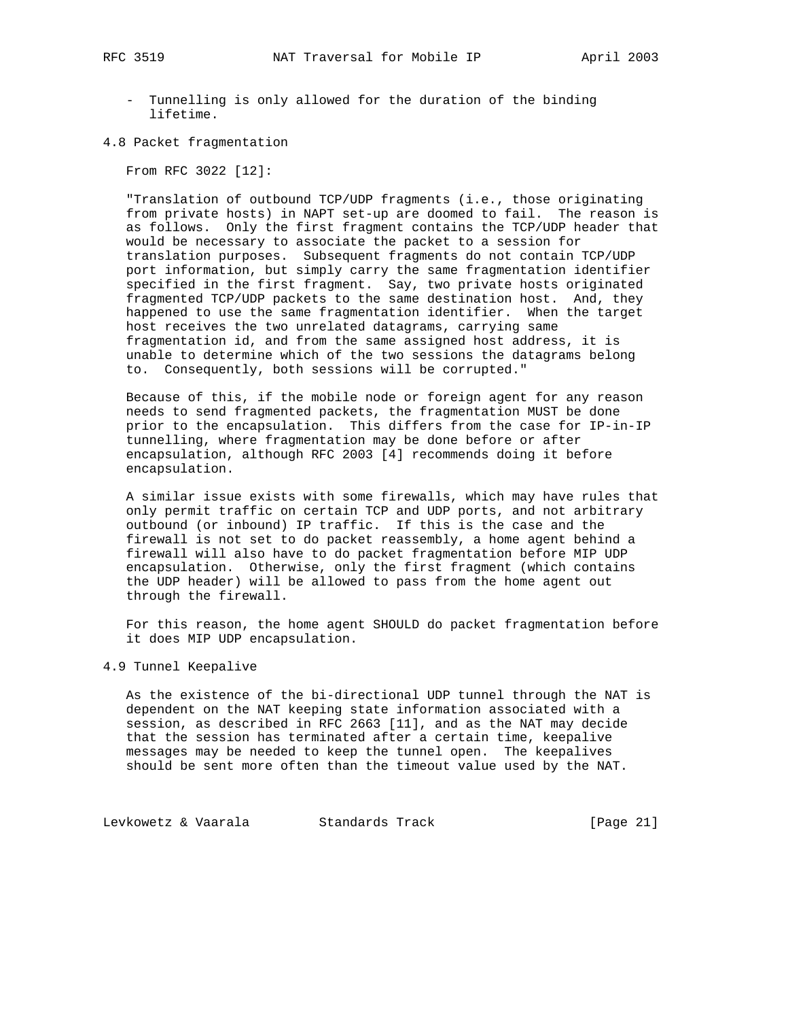- Tunnelling is only allowed for the duration of the binding lifetime.
- 4.8 Packet fragmentation

From RFC 3022 [12]:

 "Translation of outbound TCP/UDP fragments (i.e., those originating from private hosts) in NAPT set-up are doomed to fail. The reason is as follows. Only the first fragment contains the TCP/UDP header that would be necessary to associate the packet to a session for translation purposes. Subsequent fragments do not contain TCP/UDP port information, but simply carry the same fragmentation identifier specified in the first fragment. Say, two private hosts originated fragmented TCP/UDP packets to the same destination host. And, they happened to use the same fragmentation identifier. When the target host receives the two unrelated datagrams, carrying same fragmentation id, and from the same assigned host address, it is unable to determine which of the two sessions the datagrams belong to. Consequently, both sessions will be corrupted."

 Because of this, if the mobile node or foreign agent for any reason needs to send fragmented packets, the fragmentation MUST be done prior to the encapsulation. This differs from the case for IP-in-IP tunnelling, where fragmentation may be done before or after encapsulation, although RFC 2003 [4] recommends doing it before encapsulation.

 A similar issue exists with some firewalls, which may have rules that only permit traffic on certain TCP and UDP ports, and not arbitrary outbound (or inbound) IP traffic. If this is the case and the firewall is not set to do packet reassembly, a home agent behind a firewall will also have to do packet fragmentation before MIP UDP encapsulation. Otherwise, only the first fragment (which contains the UDP header) will be allowed to pass from the home agent out through the firewall.

 For this reason, the home agent SHOULD do packet fragmentation before it does MIP UDP encapsulation.

4.9 Tunnel Keepalive

 As the existence of the bi-directional UDP tunnel through the NAT is dependent on the NAT keeping state information associated with a session, as described in RFC 2663 [11], and as the NAT may decide that the session has terminated after a certain time, keepalive messages may be needed to keep the tunnel open. The keepalives should be sent more often than the timeout value used by the NAT.

Levkowetz & Vaarala Standards Track [Page 21]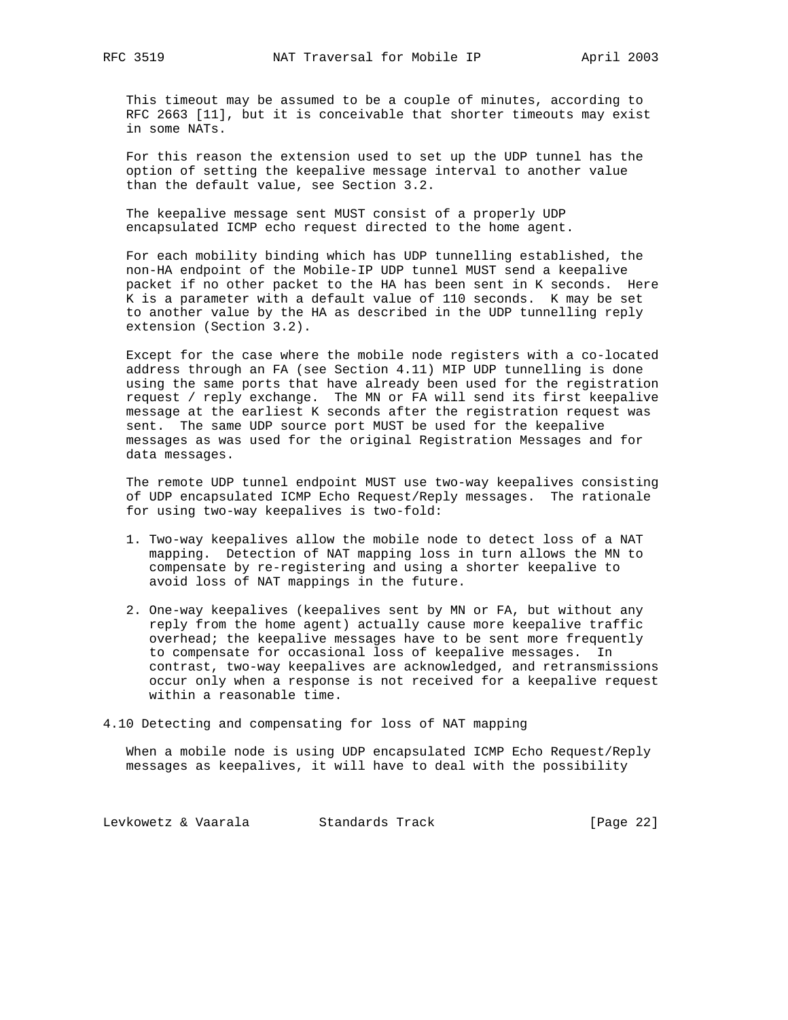This timeout may be assumed to be a couple of minutes, according to RFC 2663 [11], but it is conceivable that shorter timeouts may exist in some NATs.

 For this reason the extension used to set up the UDP tunnel has the option of setting the keepalive message interval to another value than the default value, see Section 3.2.

 The keepalive message sent MUST consist of a properly UDP encapsulated ICMP echo request directed to the home agent.

 For each mobility binding which has UDP tunnelling established, the non-HA endpoint of the Mobile-IP UDP tunnel MUST send a keepalive packet if no other packet to the HA has been sent in K seconds. Here K is a parameter with a default value of 110 seconds. K may be set to another value by the HA as described in the UDP tunnelling reply extension (Section 3.2).

 Except for the case where the mobile node registers with a co-located address through an FA (see Section 4.11) MIP UDP tunnelling is done using the same ports that have already been used for the registration request / reply exchange. The MN or FA will send its first keepalive message at the earliest K seconds after the registration request was sent. The same UDP source port MUST be used for the keepalive messages as was used for the original Registration Messages and for data messages.

 The remote UDP tunnel endpoint MUST use two-way keepalives consisting of UDP encapsulated ICMP Echo Request/Reply messages. The rationale for using two-way keepalives is two-fold:

- 1. Two-way keepalives allow the mobile node to detect loss of a NAT mapping. Detection of NAT mapping loss in turn allows the MN to compensate by re-registering and using a shorter keepalive to avoid loss of NAT mappings in the future.
- 2. One-way keepalives (keepalives sent by MN or FA, but without any reply from the home agent) actually cause more keepalive traffic overhead; the keepalive messages have to be sent more frequently to compensate for occasional loss of keepalive messages. In contrast, two-way keepalives are acknowledged, and retransmissions occur only when a response is not received for a keepalive request within a reasonable time.

4.10 Detecting and compensating for loss of NAT mapping

 When a mobile node is using UDP encapsulated ICMP Echo Request/Reply messages as keepalives, it will have to deal with the possibility

Levkowetz & Vaarala Standards Track [Page 22]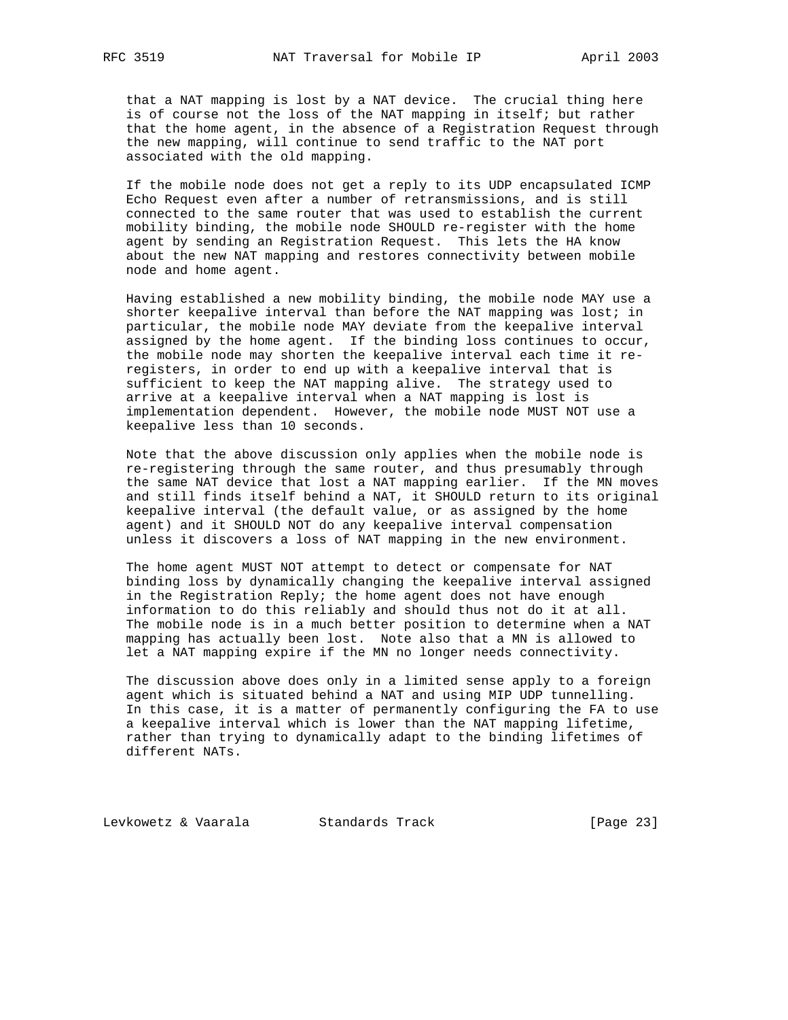that a NAT mapping is lost by a NAT device. The crucial thing here is of course not the loss of the NAT mapping in itself; but rather that the home agent, in the absence of a Registration Request through the new mapping, will continue to send traffic to the NAT port associated with the old mapping.

 If the mobile node does not get a reply to its UDP encapsulated ICMP Echo Request even after a number of retransmissions, and is still connected to the same router that was used to establish the current mobility binding, the mobile node SHOULD re-register with the home agent by sending an Registration Request. This lets the HA know about the new NAT mapping and restores connectivity between mobile node and home agent.

 Having established a new mobility binding, the mobile node MAY use a shorter keepalive interval than before the NAT mapping was lost; in particular, the mobile node MAY deviate from the keepalive interval assigned by the home agent. If the binding loss continues to occur, the mobile node may shorten the keepalive interval each time it re registers, in order to end up with a keepalive interval that is sufficient to keep the NAT mapping alive. The strategy used to arrive at a keepalive interval when a NAT mapping is lost is implementation dependent. However, the mobile node MUST NOT use a keepalive less than 10 seconds.

 Note that the above discussion only applies when the mobile node is re-registering through the same router, and thus presumably through the same NAT device that lost a NAT mapping earlier. If the MN moves and still finds itself behind a NAT, it SHOULD return to its original keepalive interval (the default value, or as assigned by the home agent) and it SHOULD NOT do any keepalive interval compensation unless it discovers a loss of NAT mapping in the new environment.

 The home agent MUST NOT attempt to detect or compensate for NAT binding loss by dynamically changing the keepalive interval assigned in the Registration Reply; the home agent does not have enough information to do this reliably and should thus not do it at all. The mobile node is in a much better position to determine when a NAT mapping has actually been lost. Note also that a MN is allowed to let a NAT mapping expire if the MN no longer needs connectivity.

 The discussion above does only in a limited sense apply to a foreign agent which is situated behind a NAT and using MIP UDP tunnelling. In this case, it is a matter of permanently configuring the FA to use a keepalive interval which is lower than the NAT mapping lifetime, rather than trying to dynamically adapt to the binding lifetimes of different NATs.

Levkowetz & Vaarala Standards Track [Page 23]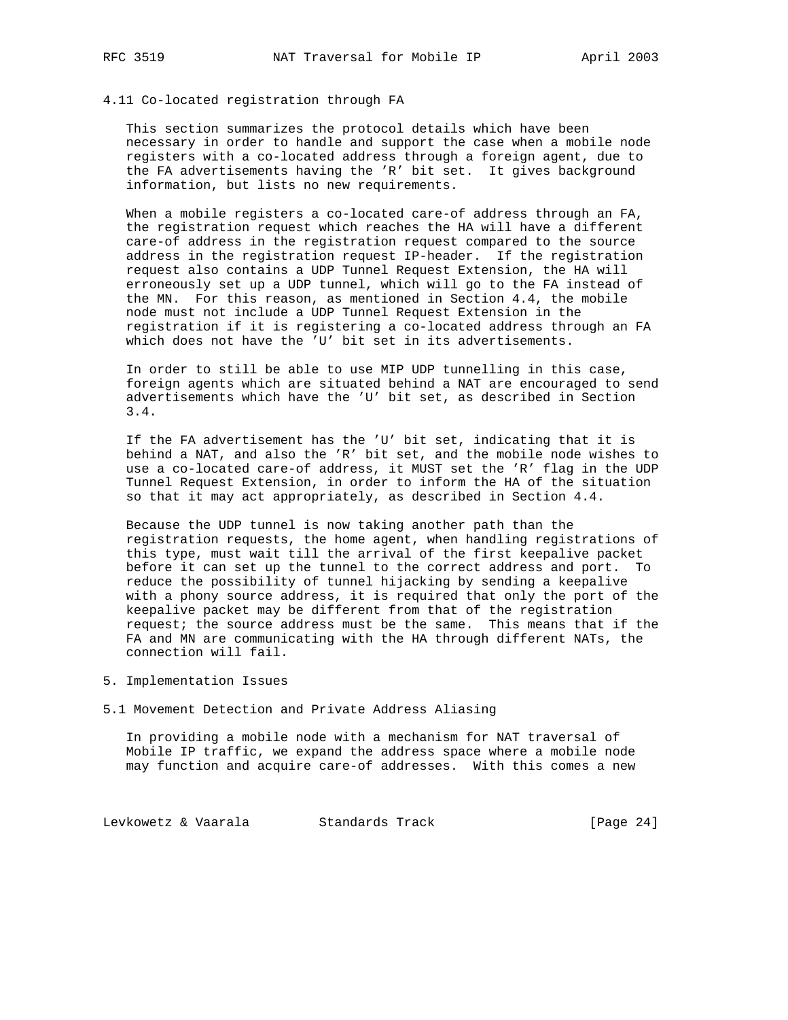#### 4.11 Co-located registration through FA

 This section summarizes the protocol details which have been necessary in order to handle and support the case when a mobile node registers with a co-located address through a foreign agent, due to the FA advertisements having the 'R' bit set. It gives background information, but lists no new requirements.

 When a mobile registers a co-located care-of address through an FA, the registration request which reaches the HA will have a different care-of address in the registration request compared to the source address in the registration request IP-header. If the registration request also contains a UDP Tunnel Request Extension, the HA will erroneously set up a UDP tunnel, which will go to the FA instead of the MN. For this reason, as mentioned in Section 4.4, the mobile node must not include a UDP Tunnel Request Extension in the registration if it is registering a co-located address through an FA which does not have the 'U' bit set in its advertisements.

 In order to still be able to use MIP UDP tunnelling in this case, foreign agents which are situated behind a NAT are encouraged to send advertisements which have the 'U' bit set, as described in Section 3.4.

 If the FA advertisement has the 'U' bit set, indicating that it is behind a NAT, and also the 'R' bit set, and the mobile node wishes to use a co-located care-of address, it MUST set the 'R' flag in the UDP Tunnel Request Extension, in order to inform the HA of the situation so that it may act appropriately, as described in Section 4.4.

 Because the UDP tunnel is now taking another path than the registration requests, the home agent, when handling registrations of this type, must wait till the arrival of the first keepalive packet before it can set up the tunnel to the correct address and port. To reduce the possibility of tunnel hijacking by sending a keepalive with a phony source address, it is required that only the port of the keepalive packet may be different from that of the registration request; the source address must be the same. This means that if the FA and MN are communicating with the HA through different NATs, the connection will fail.

- 5. Implementation Issues
- 5.1 Movement Detection and Private Address Aliasing

 In providing a mobile node with a mechanism for NAT traversal of Mobile IP traffic, we expand the address space where a mobile node may function and acquire care-of addresses. With this comes a new

Levkowetz & Vaarala Standards Track [Page 24]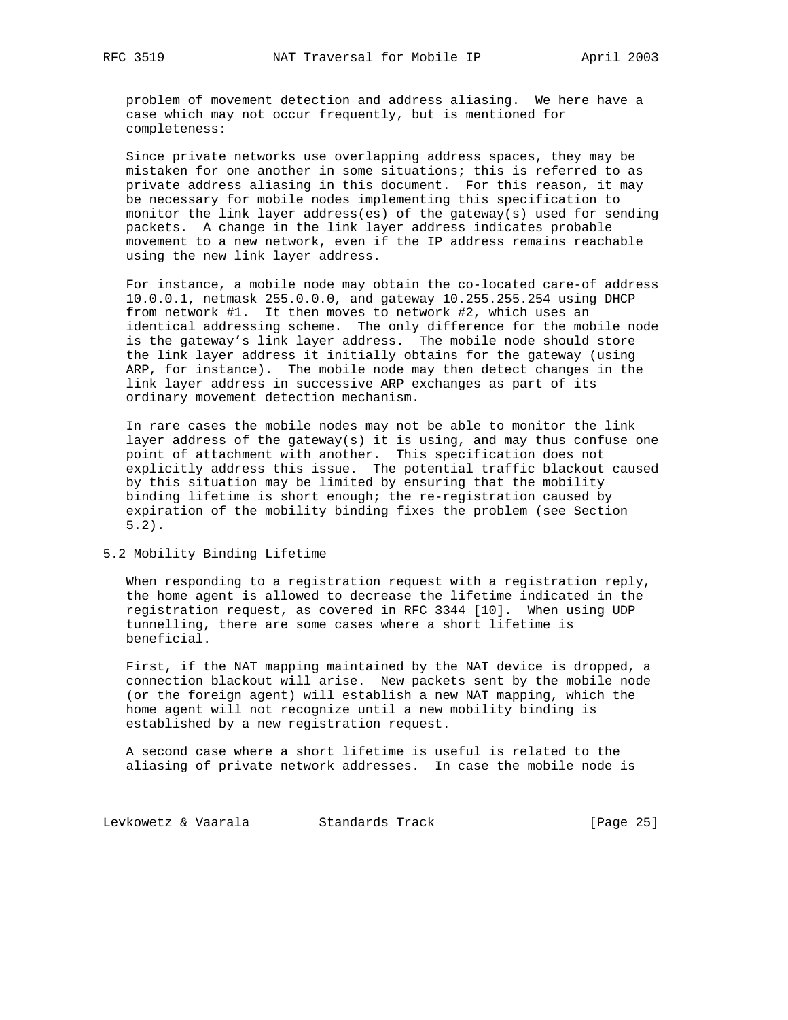problem of movement detection and address aliasing. We here have a case which may not occur frequently, but is mentioned for completeness:

 Since private networks use overlapping address spaces, they may be mistaken for one another in some situations; this is referred to as private address aliasing in this document. For this reason, it may be necessary for mobile nodes implementing this specification to monitor the link layer address(es) of the gateway(s) used for sending packets. A change in the link layer address indicates probable movement to a new network, even if the IP address remains reachable using the new link layer address.

 For instance, a mobile node may obtain the co-located care-of address 10.0.0.1, netmask 255.0.0.0, and gateway 10.255.255.254 using DHCP from network #1. It then moves to network #2, which uses an identical addressing scheme. The only difference for the mobile node is the gateway's link layer address. The mobile node should store the link layer address it initially obtains for the gateway (using ARP, for instance). The mobile node may then detect changes in the link layer address in successive ARP exchanges as part of its ordinary movement detection mechanism.

 In rare cases the mobile nodes may not be able to monitor the link layer address of the gateway(s) it is using, and may thus confuse one point of attachment with another. This specification does not -<br>explicitly address this issue. The potential traffic blackout caused by this situation may be limited by ensuring that the mobility binding lifetime is short enough; the re-registration caused by expiration of the mobility binding fixes the problem (see Section 5.2).

#### 5.2 Mobility Binding Lifetime

 When responding to a registration request with a registration reply, the home agent is allowed to decrease the lifetime indicated in the registration request, as covered in RFC 3344 [10]. When using UDP tunnelling, there are some cases where a short lifetime is beneficial.

 First, if the NAT mapping maintained by the NAT device is dropped, a connection blackout will arise. New packets sent by the mobile node (or the foreign agent) will establish a new NAT mapping, which the home agent will not recognize until a new mobility binding is established by a new registration request.

 A second case where a short lifetime is useful is related to the aliasing of private network addresses. In case the mobile node is

Levkowetz & Vaarala Standards Track [Page 25]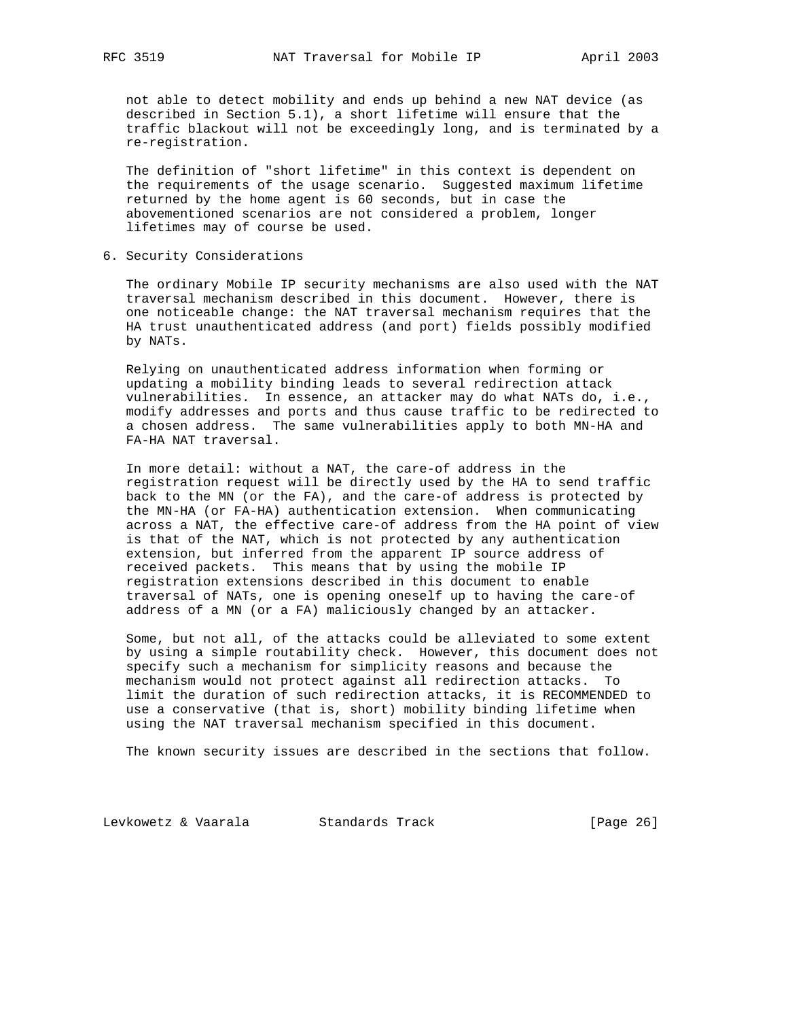not able to detect mobility and ends up behind a new NAT device (as described in Section 5.1), a short lifetime will ensure that the traffic blackout will not be exceedingly long, and is terminated by a re-registration.

 The definition of "short lifetime" in this context is dependent on the requirements of the usage scenario. Suggested maximum lifetime returned by the home agent is 60 seconds, but in case the abovementioned scenarios are not considered a problem, longer lifetimes may of course be used.

6. Security Considerations

 The ordinary Mobile IP security mechanisms are also used with the NAT traversal mechanism described in this document. However, there is one noticeable change: the NAT traversal mechanism requires that the HA trust unauthenticated address (and port) fields possibly modified by NATs.

 Relying on unauthenticated address information when forming or updating a mobility binding leads to several redirection attack vulnerabilities. In essence, an attacker may do what NATs do, i.e., modify addresses and ports and thus cause traffic to be redirected to a chosen address. The same vulnerabilities apply to both MN-HA and FA-HA NAT traversal.

 In more detail: without a NAT, the care-of address in the registration request will be directly used by the HA to send traffic back to the MN (or the FA), and the care-of address is protected by the MN-HA (or FA-HA) authentication extension. When communicating across a NAT, the effective care-of address from the HA point of view is that of the NAT, which is not protected by any authentication extension, but inferred from the apparent IP source address of received packets. This means that by using the mobile IP registration extensions described in this document to enable traversal of NATs, one is opening oneself up to having the care-of address of a MN (or a FA) maliciously changed by an attacker.

 Some, but not all, of the attacks could be alleviated to some extent by using a simple routability check. However, this document does not specify such a mechanism for simplicity reasons and because the mechanism would not protect against all redirection attacks. To limit the duration of such redirection attacks, it is RECOMMENDED to use a conservative (that is, short) mobility binding lifetime when using the NAT traversal mechanism specified in this document.

The known security issues are described in the sections that follow.

Levkowetz & Vaarala Standards Track [Page 26]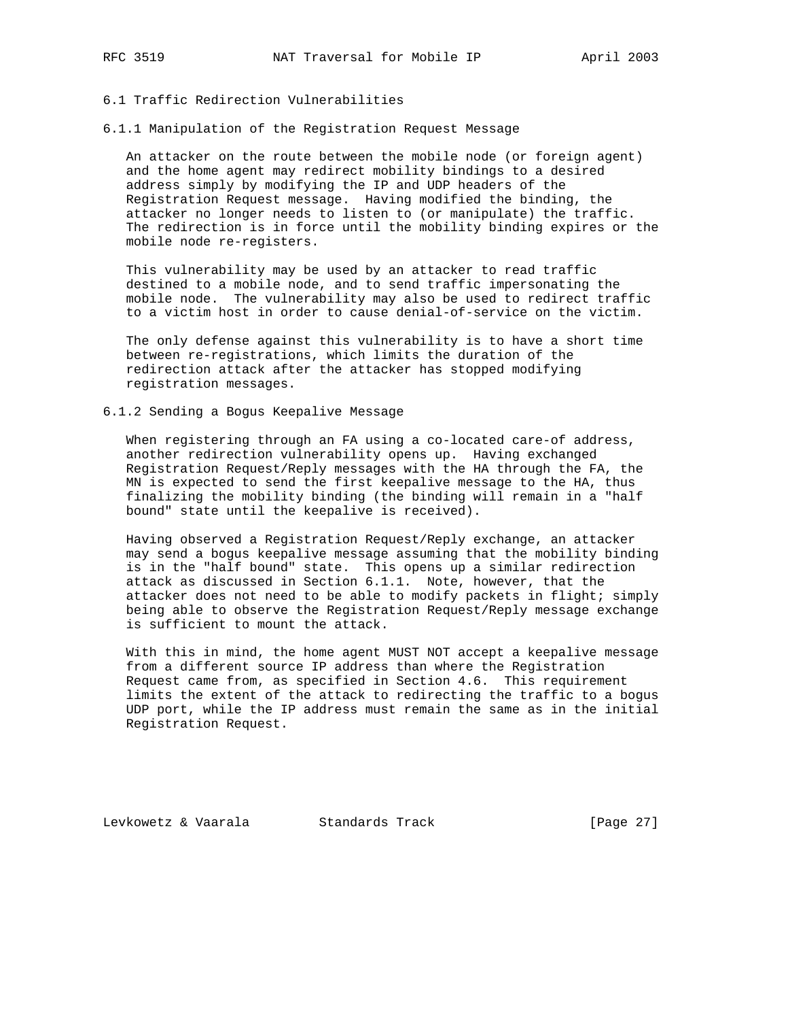# 6.1 Traffic Redirection Vulnerabilities

6.1.1 Manipulation of the Registration Request Message

 An attacker on the route between the mobile node (or foreign agent) and the home agent may redirect mobility bindings to a desired address simply by modifying the IP and UDP headers of the Registration Request message. Having modified the binding, the attacker no longer needs to listen to (or manipulate) the traffic. The redirection is in force until the mobility binding expires or the mobile node re-registers.

 This vulnerability may be used by an attacker to read traffic destined to a mobile node, and to send traffic impersonating the mobile node. The vulnerability may also be used to redirect traffic to a victim host in order to cause denial-of-service on the victim.

 The only defense against this vulnerability is to have a short time between re-registrations, which limits the duration of the redirection attack after the attacker has stopped modifying registration messages.

#### 6.1.2 Sending a Bogus Keepalive Message

 When registering through an FA using a co-located care-of address, another redirection vulnerability opens up. Having exchanged Registration Request/Reply messages with the HA through the FA, the MN is expected to send the first keepalive message to the HA, thus finalizing the mobility binding (the binding will remain in a "half bound" state until the keepalive is received).

 Having observed a Registration Request/Reply exchange, an attacker may send a bogus keepalive message assuming that the mobility binding is in the "half bound" state. This opens up a similar redirection attack as discussed in Section 6.1.1. Note, however, that the attacker does not need to be able to modify packets in flight; simply being able to observe the Registration Request/Reply message exchange is sufficient to mount the attack.

 With this in mind, the home agent MUST NOT accept a keepalive message from a different source IP address than where the Registration Request came from, as specified in Section 4.6. This requirement limits the extent of the attack to redirecting the traffic to a bogus UDP port, while the IP address must remain the same as in the initial Registration Request.

Levkowetz & Vaarala Standards Track [Page 27]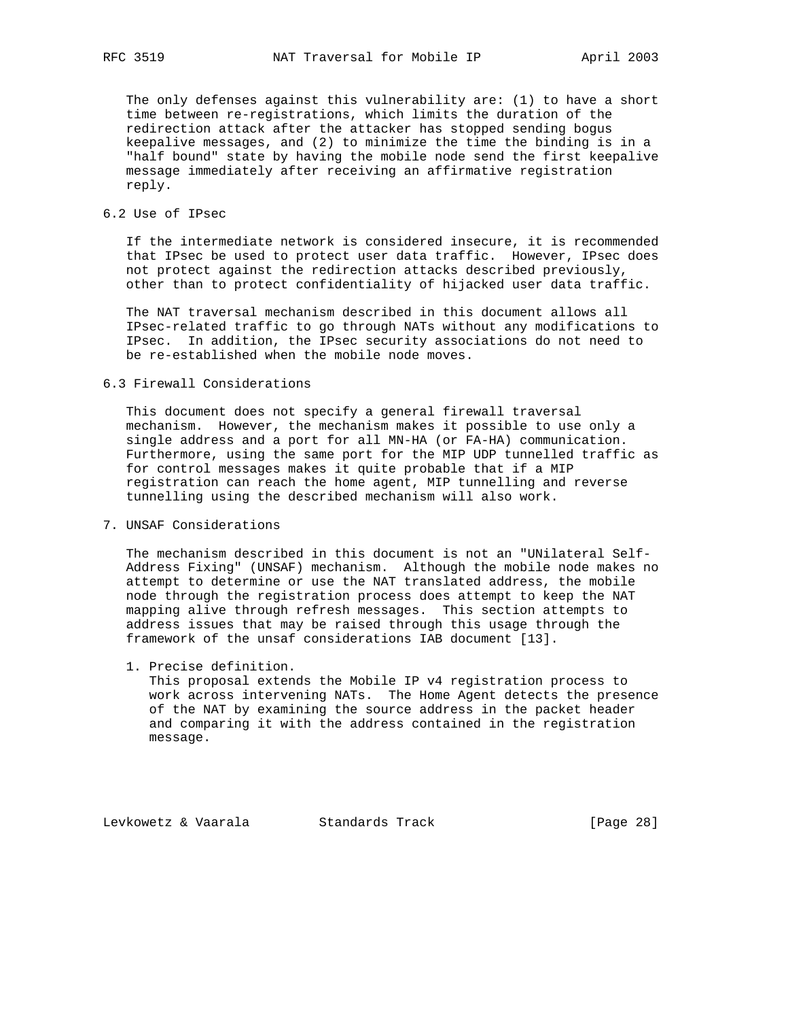The only defenses against this vulnerability are: (1) to have a short time between re-registrations, which limits the duration of the redirection attack after the attacker has stopped sending bogus keepalive messages, and (2) to minimize the time the binding is in a "half bound" state by having the mobile node send the first keepalive message immediately after receiving an affirmative registration reply.

# 6.2 Use of IPsec

 If the intermediate network is considered insecure, it is recommended that IPsec be used to protect user data traffic. However, IPsec does not protect against the redirection attacks described previously, other than to protect confidentiality of hijacked user data traffic.

 The NAT traversal mechanism described in this document allows all IPsec-related traffic to go through NATs without any modifications to IPsec. In addition, the IPsec security associations do not need to be re-established when the mobile node moves.

## 6.3 Firewall Considerations

 This document does not specify a general firewall traversal mechanism. However, the mechanism makes it possible to use only a single address and a port for all MN-HA (or FA-HA) communication. Furthermore, using the same port for the MIP UDP tunnelled traffic as for control messages makes it quite probable that if a MIP registration can reach the home agent, MIP tunnelling and reverse tunnelling using the described mechanism will also work.

# 7. UNSAF Considerations

 The mechanism described in this document is not an "UNilateral Self- Address Fixing" (UNSAF) mechanism. Although the mobile node makes no attempt to determine or use the NAT translated address, the mobile node through the registration process does attempt to keep the NAT mapping alive through refresh messages. This section attempts to address issues that may be raised through this usage through the framework of the unsaf considerations IAB document [13].

1. Precise definition.

 This proposal extends the Mobile IP v4 registration process to work across intervening NATs. The Home Agent detects the presence of the NAT by examining the source address in the packet header and comparing it with the address contained in the registration message.

Levkowetz & Vaarala Standards Track [Page 28]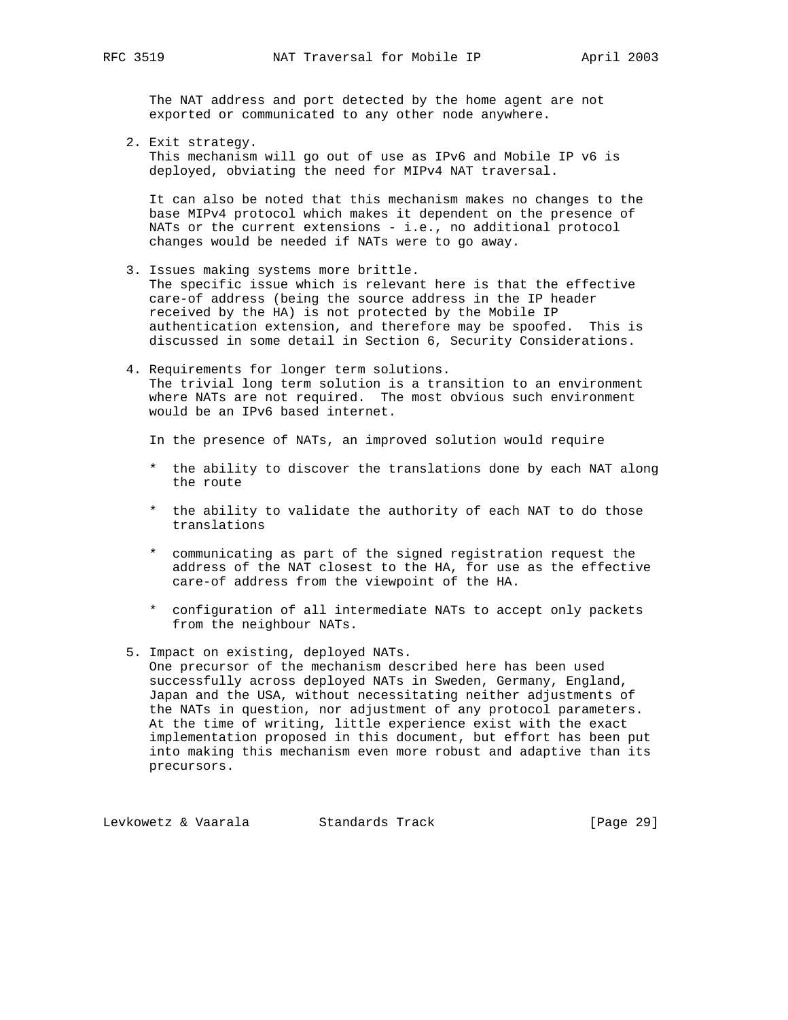The NAT address and port detected by the home agent are not exported or communicated to any other node anywhere.

2. Exit strategy.

 This mechanism will go out of use as IPv6 and Mobile IP v6 is deployed, obviating the need for MIPv4 NAT traversal.

 It can also be noted that this mechanism makes no changes to the base MIPv4 protocol which makes it dependent on the presence of NATs or the current extensions - i.e., no additional protocol changes would be needed if NATs were to go away.

- 3. Issues making systems more brittle. The specific issue which is relevant here is that the effective care-of address (being the source address in the IP header received by the HA) is not protected by the Mobile IP authentication extension, and therefore may be spoofed. This is discussed in some detail in Section 6, Security Considerations.
- 4. Requirements for longer term solutions. The trivial long term solution is a transition to an environment where NATs are not required. The most obvious such environment would be an IPv6 based internet.

In the presence of NATs, an improved solution would require

- \* the ability to discover the translations done by each NAT along the route
- \* the ability to validate the authority of each NAT to do those translations
- \* communicating as part of the signed registration request the address of the NAT closest to the HA, for use as the effective care-of address from the viewpoint of the HA.
- \* configuration of all intermediate NATs to accept only packets from the neighbour NATs.
- 5. Impact on existing, deployed NATs. One precursor of the mechanism described here has been used successfully across deployed NATs in Sweden, Germany, England, Japan and the USA, without necessitating neither adjustments of the NATs in question, nor adjustment of any protocol parameters. At the time of writing, little experience exist with the exact implementation proposed in this document, but effort has been put into making this mechanism even more robust and adaptive than its precursors.

Levkowetz & Vaarala Standards Track [Page 29]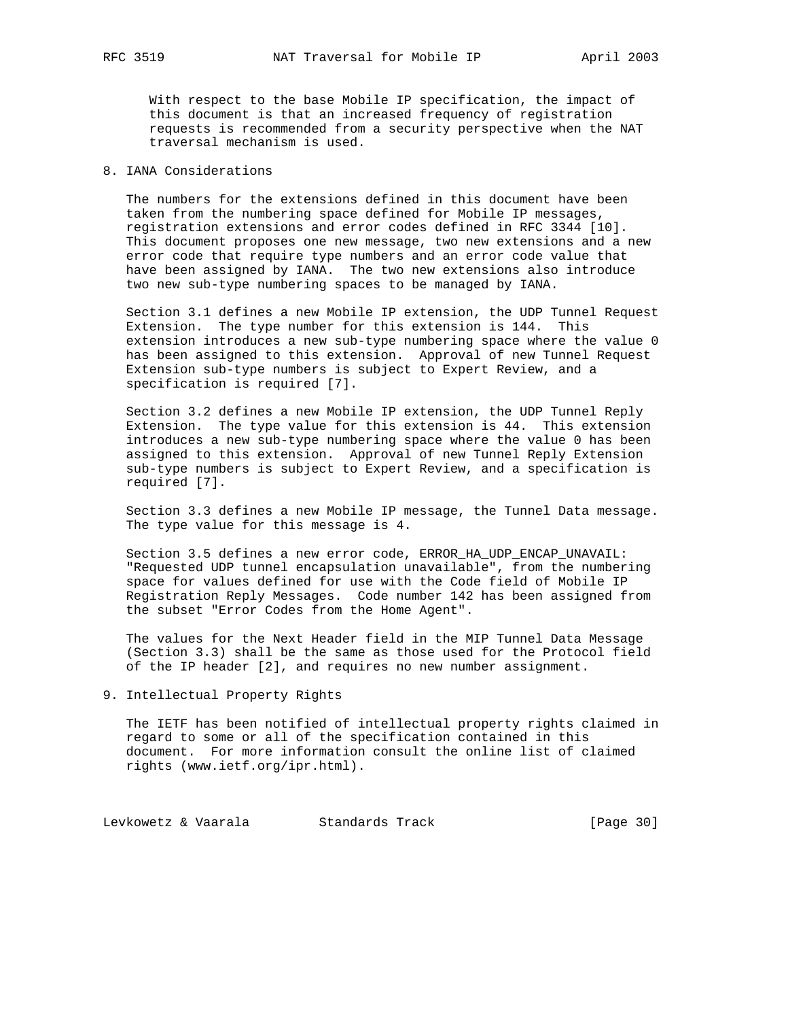With respect to the base Mobile IP specification, the impact of this document is that an increased frequency of registration requests is recommended from a security perspective when the NAT traversal mechanism is used.

# 8. IANA Considerations

 The numbers for the extensions defined in this document have been taken from the numbering space defined for Mobile IP messages, registration extensions and error codes defined in RFC 3344 [10]. This document proposes one new message, two new extensions and a new error code that require type numbers and an error code value that have been assigned by IANA. The two new extensions also introduce two new sub-type numbering spaces to be managed by IANA.

 Section 3.1 defines a new Mobile IP extension, the UDP Tunnel Request Extension. The type number for this extension is 144. This extension introduces a new sub-type numbering space where the value 0 has been assigned to this extension. Approval of new Tunnel Request Extension sub-type numbers is subject to Expert Review, and a specification is required [7].

 Section 3.2 defines a new Mobile IP extension, the UDP Tunnel Reply Extension. The type value for this extension is 44. This extension introduces a new sub-type numbering space where the value 0 has been assigned to this extension. Approval of new Tunnel Reply Extension sub-type numbers is subject to Expert Review, and a specification is required [7].

 Section 3.3 defines a new Mobile IP message, the Tunnel Data message. The type value for this message is 4.

 Section 3.5 defines a new error code, ERROR\_HA\_UDP\_ENCAP\_UNAVAIL: "Requested UDP tunnel encapsulation unavailable", from the numbering space for values defined for use with the Code field of Mobile IP Registration Reply Messages. Code number 142 has been assigned from the subset "Error Codes from the Home Agent".

 The values for the Next Header field in the MIP Tunnel Data Message (Section 3.3) shall be the same as those used for the Protocol field of the IP header [2], and requires no new number assignment.

9. Intellectual Property Rights

 The IETF has been notified of intellectual property rights claimed in regard to some or all of the specification contained in this document. For more information consult the online list of claimed rights (www.ietf.org/ipr.html).

Levkowetz & Vaarala Standards Track [Page 30]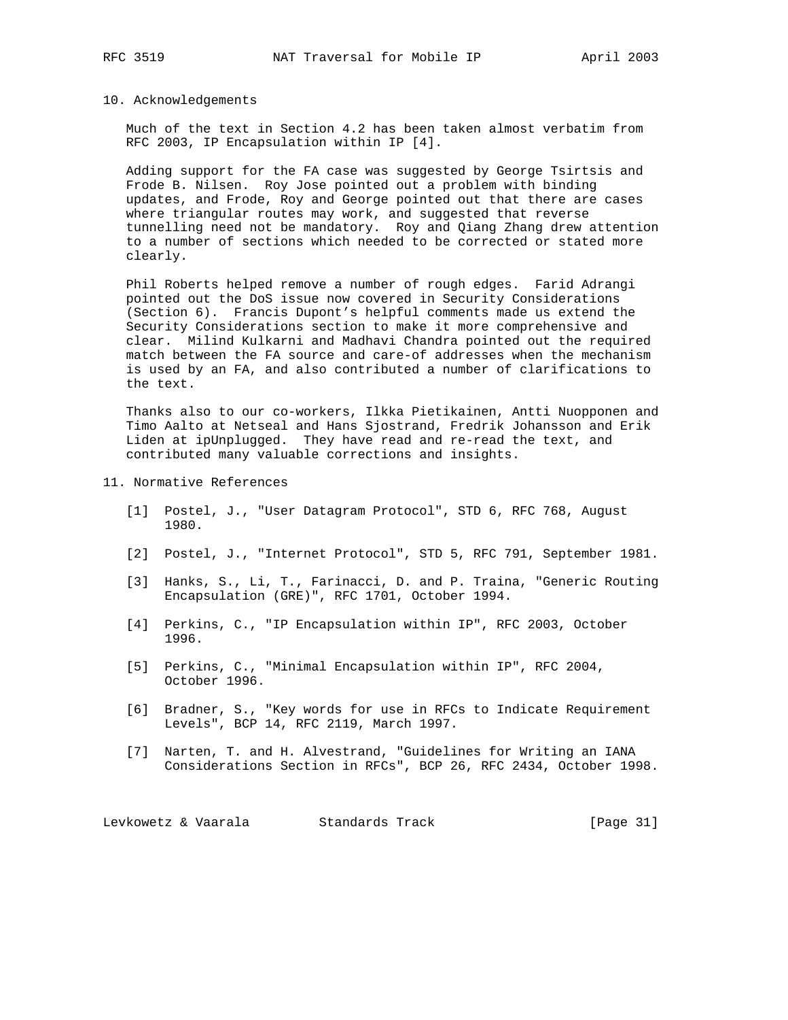#### 10. Acknowledgements

 Much of the text in Section 4.2 has been taken almost verbatim from RFC 2003, IP Encapsulation within IP [4].

 Adding support for the FA case was suggested by George Tsirtsis and Frode B. Nilsen. Roy Jose pointed out a problem with binding updates, and Frode, Roy and George pointed out that there are cases where triangular routes may work, and suggested that reverse tunnelling need not be mandatory. Roy and Qiang Zhang drew attention to a number of sections which needed to be corrected or stated more clearly.

 Phil Roberts helped remove a number of rough edges. Farid Adrangi pointed out the DoS issue now covered in Security Considerations (Section 6). Francis Dupont's helpful comments made us extend the Security Considerations section to make it more comprehensive and clear. Milind Kulkarni and Madhavi Chandra pointed out the required match between the FA source and care-of addresses when the mechanism is used by an FA, and also contributed a number of clarifications to the text.

 Thanks also to our co-workers, Ilkka Pietikainen, Antti Nuopponen and Timo Aalto at Netseal and Hans Sjostrand, Fredrik Johansson and Erik Liden at ipUnplugged. They have read and re-read the text, and contributed many valuable corrections and insights.

- 11. Normative References
	- [1] Postel, J., "User Datagram Protocol", STD 6, RFC 768, August 1980.
	- [2] Postel, J., "Internet Protocol", STD 5, RFC 791, September 1981.
	- [3] Hanks, S., Li, T., Farinacci, D. and P. Traina, "Generic Routing Encapsulation (GRE)", RFC 1701, October 1994.
	- [4] Perkins, C., "IP Encapsulation within IP", RFC 2003, October 1996.
	- [5] Perkins, C., "Minimal Encapsulation within IP", RFC 2004, October 1996.
	- [6] Bradner, S., "Key words for use in RFCs to Indicate Requirement Levels", BCP 14, RFC 2119, March 1997.
	- [7] Narten, T. and H. Alvestrand, "Guidelines for Writing an IANA Considerations Section in RFCs", BCP 26, RFC 2434, October 1998.

Levkowetz & Vaarala Standards Track [Page 31]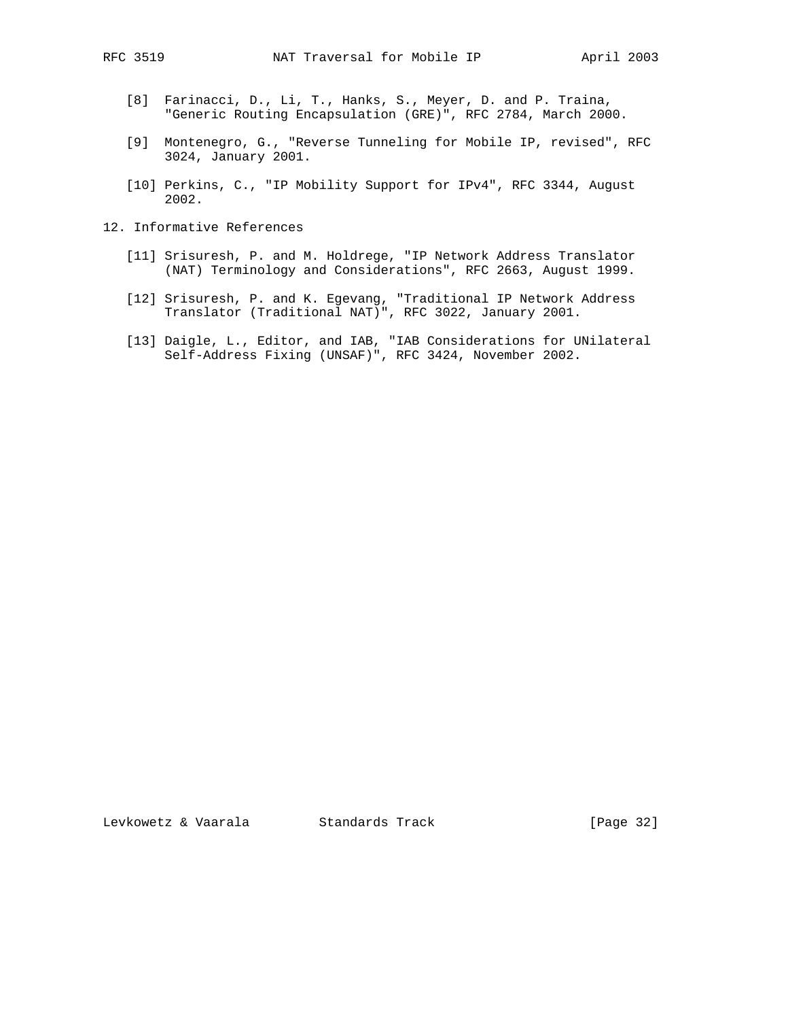- [8] Farinacci, D., Li, T., Hanks, S., Meyer, D. and P. Traina, "Generic Routing Encapsulation (GRE)", RFC 2784, March 2000.
- [9] Montenegro, G., "Reverse Tunneling for Mobile IP, revised", RFC 3024, January 2001.
- [10] Perkins, C., "IP Mobility Support for IPv4", RFC 3344, August 2002.
- 12. Informative References
	- [11] Srisuresh, P. and M. Holdrege, "IP Network Address Translator (NAT) Terminology and Considerations", RFC 2663, August 1999.
- [12] Srisuresh, P. and K. Egevang, "Traditional IP Network Address Translator (Traditional NAT)", RFC 3022, January 2001.
	- [13] Daigle, L., Editor, and IAB, "IAB Considerations for UNilateral Self-Address Fixing (UNSAF)", RFC 3424, November 2002.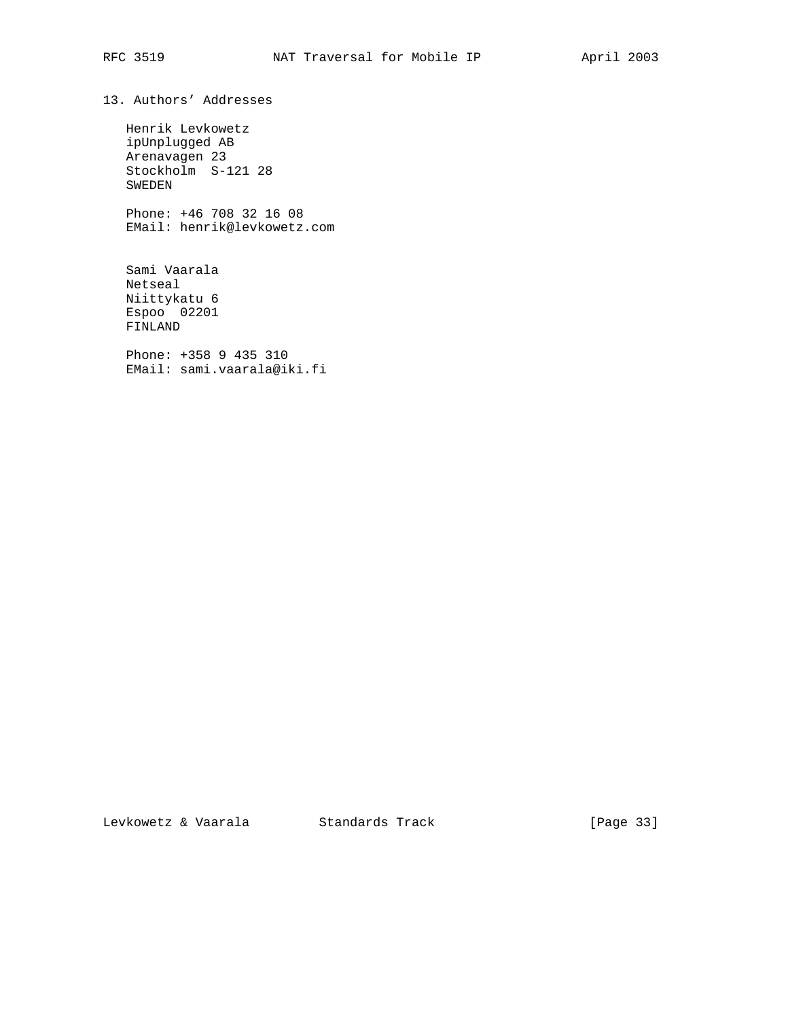13. Authors' Addresses

 Henrik Levkowetz ipUnplugged AB Arenavagen 23 Stockholm S-121 28 SWEDEN

 Phone: +46 708 32 16 08 EMail: henrik@levkowetz.com

 Sami Vaarala Netseal Niittykatu 6 Espoo 02201 FINLAND

 Phone: +358 9 435 310 EMail: sami.vaarala@iki.fi